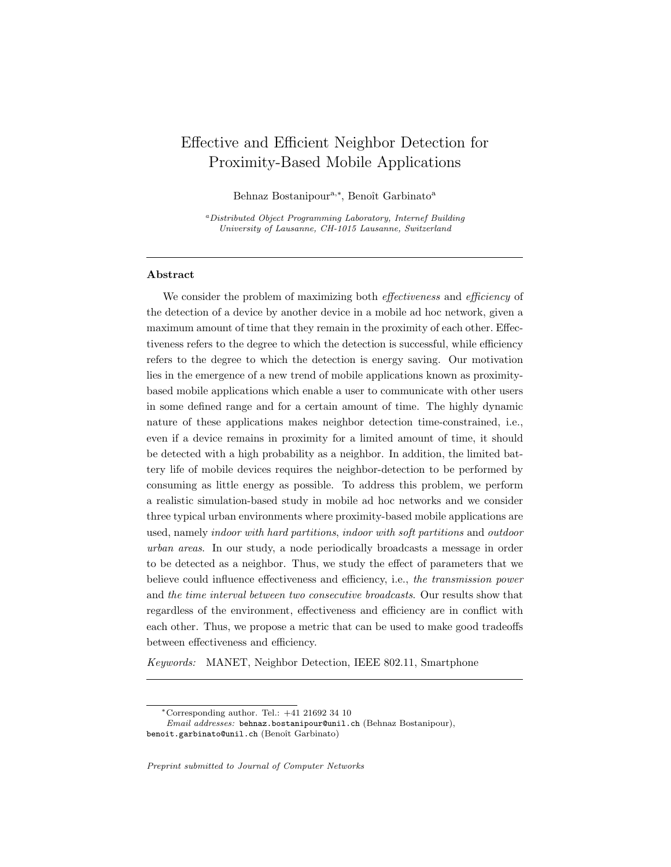# <span id="page-0-0"></span>Effective and Efficient Neighbor Detection for Proximity-Based Mobile Applications

Behnaz Bostanipour<sup>a,\*</sup>, Benoît Garbinato<sup>a</sup>

<sup>a</sup>Distributed Object Programming Laboratory, Internef Building University of Lausanne, CH-1015 Lausanne, Switzerland

# Abstract

We consider the problem of maximizing both *effectiveness* and *efficiency* of the detection of a device by another device in a mobile ad hoc network, given a maximum amount of time that they remain in the proximity of each other. Effectiveness refers to the degree to which the detection is successful, while efficiency refers to the degree to which the detection is energy saving. Our motivation lies in the emergence of a new trend of mobile applications known as proximitybased mobile applications which enable a user to communicate with other users in some defined range and for a certain amount of time. The highly dynamic nature of these applications makes neighbor detection time-constrained, i.e., even if a device remains in proximity for a limited amount of time, it should be detected with a high probability as a neighbor. In addition, the limited battery life of mobile devices requires the neighbor-detection to be performed by consuming as little energy as possible. To address this problem, we perform a realistic simulation-based study in mobile ad hoc networks and we consider three typical urban environments where proximity-based mobile applications are used, namely indoor with hard partitions, indoor with soft partitions and outdoor urban areas. In our study, a node periodically broadcasts a message in order to be detected as a neighbor. Thus, we study the effect of parameters that we believe could influence effectiveness and efficiency, i.e., the transmission power and the time interval between two consecutive broadcasts. Our results show that regardless of the environment, effectiveness and efficiency are in conflict with each other. Thus, we propose a metric that can be used to make good tradeoffs between effectiveness and efficiency.

Keywords: MANET, Neighbor Detection, IEEE 802.11, Smartphone

Preprint submitted to Journal of Computer Networks

<sup>∗</sup>Corresponding author. Tel.: +41 21692 34 10

Email addresses: behnaz.bostanipour@unil.ch (Behnaz Bostanipour), benoit.garbinato@unil.ch (Benoît Garbinato)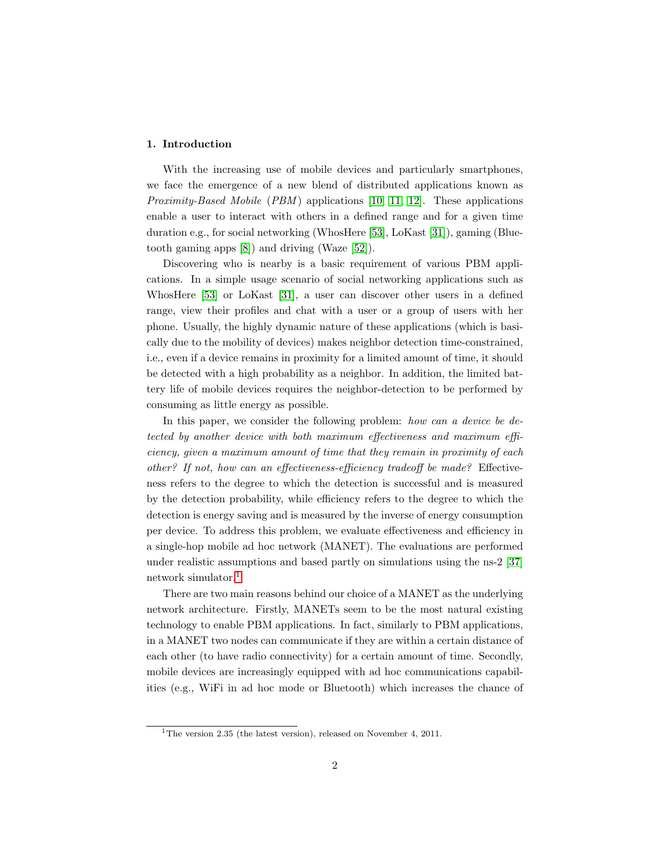## 1. Introduction

With the increasing use of mobile devices and particularly smartphones, we face the emergence of a new blend of distributed applications known as *Proximity-Based Mobile (PBM)* applications [\[10,](#page-39-0) [11,](#page-39-1) [12\]](#page-39-2). These applications enable a user to interact with others in a defined range and for a given time duration e.g., for social networking (WhosHere [\[53\]](#page-42-0), LoKast [\[31\]](#page-40-0)), gaming (Bluetooth gaming apps [\[8\]](#page-39-3)) and driving (Waze [\[52\]](#page-42-1)).

Discovering who is nearby is a basic requirement of various PBM applications. In a simple usage scenario of social networking applications such as WhosHere [\[53\]](#page-42-0) or LoKast [\[31\]](#page-40-0), a user can discover other users in a defined range, view their profiles and chat with a user or a group of users with her phone. Usually, the highly dynamic nature of these applications (which is basically due to the mobility of devices) makes neighbor detection time-constrained, i.e., even if a device remains in proximity for a limited amount of time, it should be detected with a high probability as a neighbor. In addition, the limited battery life of mobile devices requires the neighbor-detection to be performed by consuming as little energy as possible.

In this paper, we consider the following problem: how can a device be detected by another device with both maximum effectiveness and maximum efficiency, given a maximum amount of time that they remain in proximity of each other? If not, how can an effectiveness-efficiency tradeoff be made? Effectiveness refers to the degree to which the detection is successful and is measured by the detection probability, while efficiency refers to the degree to which the detection is energy saving and is measured by the inverse of energy consumption per device. To address this problem, we evaluate effectiveness and efficiency in a single-hop mobile ad hoc network (MANET). The evaluations are performed under realistic assumptions and based partly on simulations using the ns-2 [\[37\]](#page-41-0) network simulator.[1](#page-0-0)

There are two main reasons behind our choice of a MANET as the underlying network architecture. Firstly, MANETs seem to be the most natural existing technology to enable PBM applications. In fact, similarly to PBM applications, in a MANET two nodes can communicate if they are within a certain distance of each other (to have radio connectivity) for a certain amount of time. Secondly, mobile devices are increasingly equipped with ad hoc communications capabilities (e.g., WiFi in ad hoc mode or Bluetooth) which increases the chance of

<sup>&</sup>lt;sup>1</sup>The version 2.35 (the latest version), released on November 4, 2011.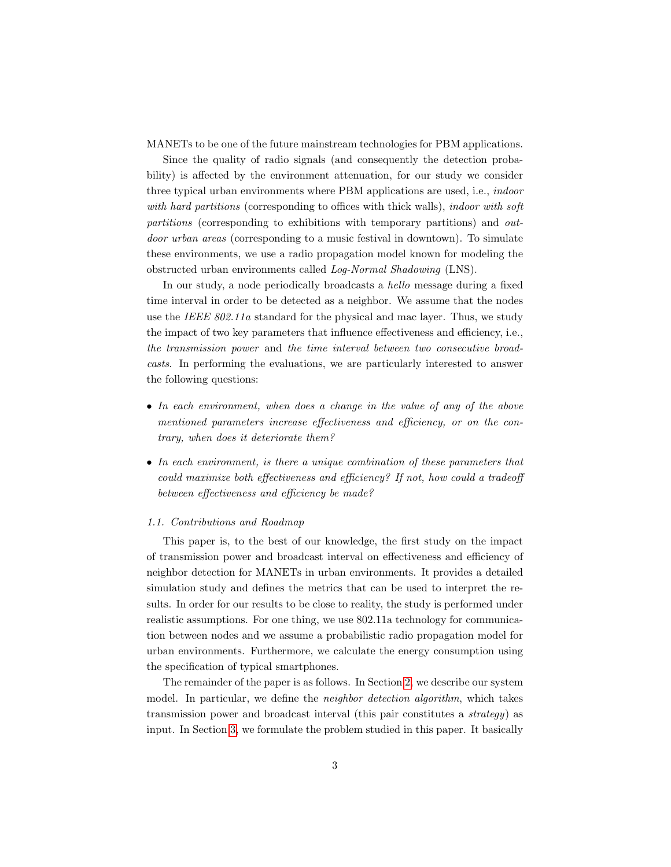MANETs to be one of the future mainstream technologies for PBM applications.

Since the quality of radio signals (and consequently the detection probability) is affected by the environment attenuation, for our study we consider three typical urban environments where PBM applications are used, i.e., indoor with hard partitions (corresponding to offices with thick walls), indoor with soft partitions (corresponding to exhibitions with temporary partitions) and outdoor urban areas (corresponding to a music festival in downtown). To simulate these environments, we use a radio propagation model known for modeling the obstructed urban environments called Log-Normal Shadowing (LNS).

In our study, a node periodically broadcasts a hello message during a fixed time interval in order to be detected as a neighbor. We assume that the nodes use the IEEE  $802.11a$  standard for the physical and mac layer. Thus, we study the impact of two key parameters that influence effectiveness and efficiency, i.e., the transmission power and the time interval between two consecutive broadcasts. In performing the evaluations, we are particularly interested to answer the following questions:

- In each environment, when does a change in the value of any of the above mentioned parameters increase effectiveness and efficiency, or on the contrary, when does it deteriorate them?
- In each environment, is there a unique combination of these parameters that could maximize both effectiveness and efficiency? If not, how could a tradeoff between effectiveness and efficiency be made?

#### 1.1. Contributions and Roadmap

This paper is, to the best of our knowledge, the first study on the impact of transmission power and broadcast interval on effectiveness and efficiency of neighbor detection for MANETs in urban environments. It provides a detailed simulation study and defines the metrics that can be used to interpret the results. In order for our results to be close to reality, the study is performed under realistic assumptions. For one thing, we use 802.11a technology for communication between nodes and we assume a probabilistic radio propagation model for urban environments. Furthermore, we calculate the energy consumption using the specification of typical smartphones.

The remainder of the paper is as follows. In Section [2,](#page-3-0) we describe our system model. In particular, we define the neighbor detection algorithm, which takes transmission power and broadcast interval (this pair constitutes a strategy) as input. In Section [3,](#page-5-0) we formulate the problem studied in this paper. It basically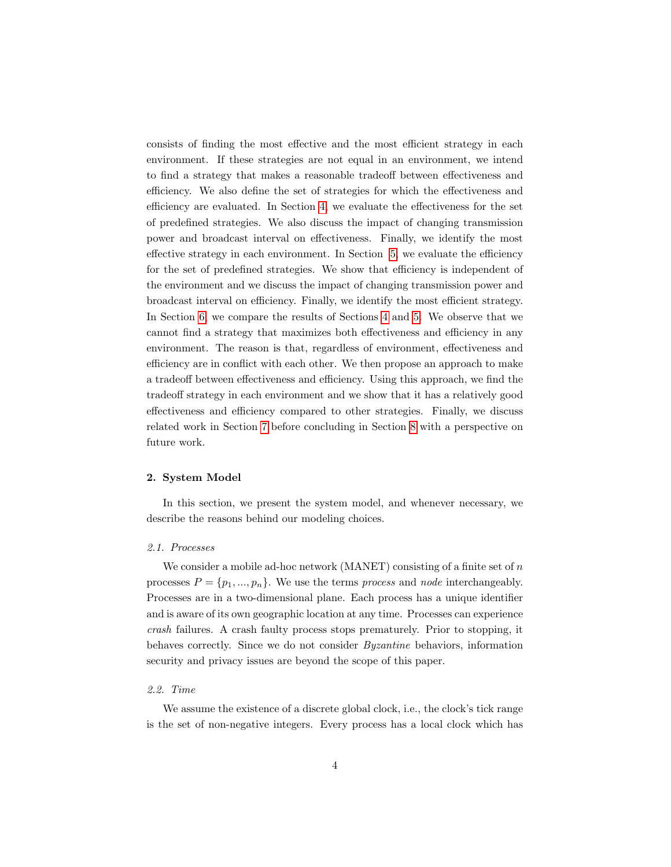consists of finding the most effective and the most efficient strategy in each environment. If these strategies are not equal in an environment, we intend to find a strategy that makes a reasonable tradeoff between effectiveness and efficiency. We also define the set of strategies for which the effectiveness and efficiency are evaluated. In Section [4,](#page-7-0) we evaluate the effectiveness for the set of predefined strategies. We also discuss the impact of changing transmission power and broadcast interval on effectiveness. Finally, we identify the most effective strategy in each environment. In Section [5,](#page-18-0) we evaluate the efficiency for the set of predefined strategies. We show that efficiency is independent of the environment and we discuss the impact of changing transmission power and broadcast interval on efficiency. Finally, we identify the most efficient strategy. In Section [6,](#page-27-0) we compare the results of Sections [4](#page-7-0) and [5.](#page-18-0) We observe that we cannot find a strategy that maximizes both effectiveness and efficiency in any environment. The reason is that, regardless of environment, effectiveness and efficiency are in conflict with each other. We then propose an approach to make a tradeoff between effectiveness and efficiency. Using this approach, we find the tradeoff strategy in each environment and we show that it has a relatively good effectiveness and efficiency compared to other strategies. Finally, we discuss related work in Section [7](#page-34-0) before concluding in Section [8](#page-37-0) with a perspective on future work.

#### <span id="page-3-0"></span>2. System Model

In this section, we present the system model, and whenever necessary, we describe the reasons behind our modeling choices.

# 2.1. Processes

We consider a mobile ad-hoc network (MANET) consisting of a finite set of  $n$ processes  $P = \{p_1, ..., p_n\}$ . We use the terms process and node interchangeably. Processes are in a two-dimensional plane. Each process has a unique identifier and is aware of its own geographic location at any time. Processes can experience crash failures. A crash faulty process stops prematurely. Prior to stopping, it behaves correctly. Since we do not consider Byzantine behaviors, information security and privacy issues are beyond the scope of this paper.

#### 2.2. Time

We assume the existence of a discrete global clock, i.e., the clock's tick range is the set of non-negative integers. Every process has a local clock which has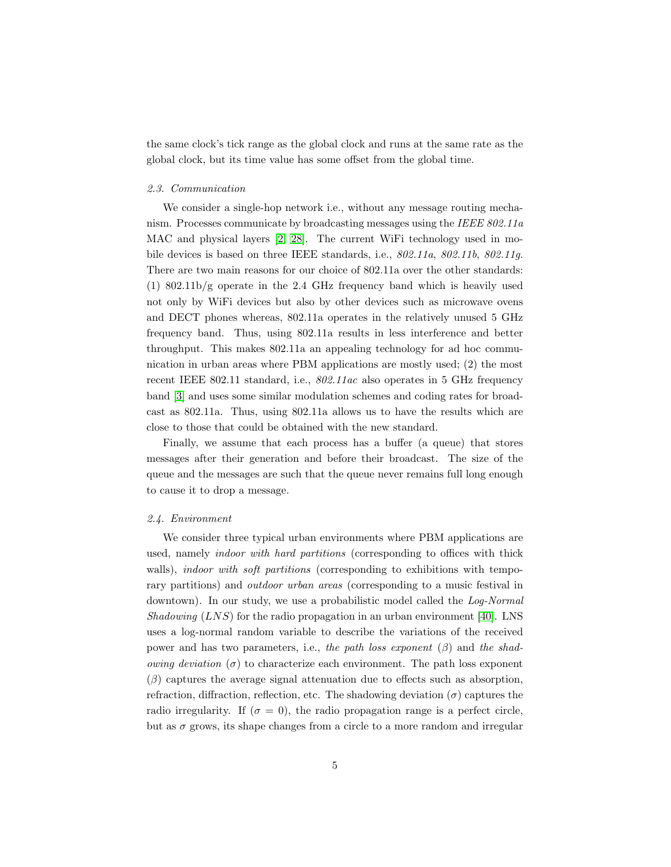the same clock's tick range as the global clock and runs at the same rate as the global clock, but its time value has some offset from the global time.

## 2.3. Communication

We consider a single-hop network i.e., without any message routing mechanism. Processes communicate by broadcasting messages using the IEEE 802.11a MAC and physical layers [\[2,](#page-38-0) [28\]](#page-40-1). The current WiFi technology used in mobile devices is based on three IEEE standards, i.e.,  $802.11a$ ,  $802.11b$ ,  $802.11a$ . There are two main reasons for our choice of 802.11a over the other standards:  $(1)$  802.11b/g operate in the 2.4 GHz frequency band which is heavily used not only by WiFi devices but also by other devices such as microwave ovens and DECT phones whereas, 802.11a operates in the relatively unused 5 GHz frequency band. Thus, using 802.11a results in less interference and better throughput. This makes 802.11a an appealing technology for ad hoc communication in urban areas where PBM applications are mostly used; (2) the most recent IEEE 802.11 standard, i.e., 802.11ac also operates in 5 GHz frequency band [\[3\]](#page-38-1) and uses some similar modulation schemes and coding rates for broadcast as 802.11a. Thus, using 802.11a allows us to have the results which are close to those that could be obtained with the new standard.

Finally, we assume that each process has a buffer (a queue) that stores messages after their generation and before their broadcast. The size of the queue and the messages are such that the queue never remains full long enough to cause it to drop a message.

#### 2.4. Environment

We consider three typical urban environments where PBM applications are used, namely indoor with hard partitions (corresponding to offices with thick walls), *indoor with soft partitions* (corresponding to exhibitions with temporary partitions) and outdoor urban areas (corresponding to a music festival in downtown). In our study, we use a probabilistic model called the Log-Normal Shadowing  $(LNS)$  for the radio propagation in an urban environment [\[40\]](#page-41-1). LNS uses a log-normal random variable to describe the variations of the received power and has two parameters, i.e., the path loss exponent  $(\beta)$  and the shad*owing deviation* ( $\sigma$ ) to characterize each environment. The path loss exponent  $(\beta)$  captures the average signal attenuation due to effects such as absorption, refraction, diffraction, reflection, etc. The shadowing deviation  $(\sigma)$  captures the radio irregularity. If  $(\sigma = 0)$ , the radio propagation range is a perfect circle, but as  $\sigma$  grows, its shape changes from a circle to a more random and irregular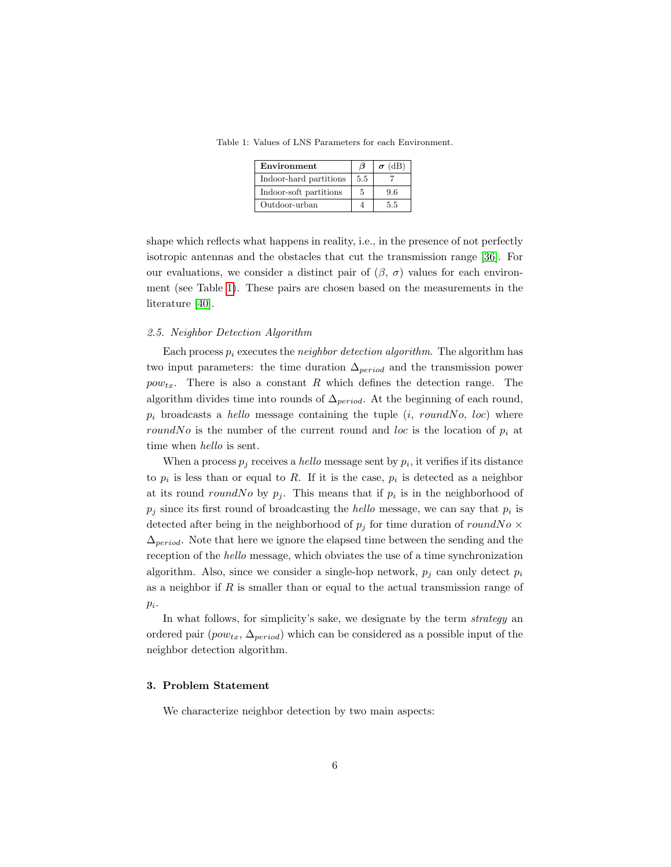<span id="page-5-1"></span>Table 1: Values of LNS Parameters for each Environment.

| Environment            | В   | $\sigma$ (dB) |
|------------------------|-----|---------------|
| Indoor-hard partitions | 5.5 |               |
| Indoor-soft partitions | 5   | 9.6           |
| Outdoor-urban          |     | 5.5           |

shape which reflects what happens in reality, i.e., in the presence of not perfectly isotropic antennas and the obstacles that cut the transmission range [\[36\]](#page-41-2). For our evaluations, we consider a distinct pair of  $(\beta, \sigma)$  values for each environment (see Table [1\)](#page-5-1). These pairs are chosen based on the measurements in the literature [\[40\]](#page-41-1).

#### 2.5. Neighbor Detection Algorithm

Each process  $p_i$  executes the *neighbor detection algorithm*. The algorithm has two input parameters: the time duration  $\Delta_{period}$  and the transmission power  $pow_{tx}$ . There is also a constant R which defines the detection range. The algorithm divides time into rounds of  $\Delta_{period}$ . At the beginning of each round,  $p_i$  broadcasts a *hello* message containing the tuple  $(i, roundNo, loc)$  where roundNo is the number of the current round and loc is the location of  $p_i$  at time when hello is sent.

When a process  $p_j$  receives a *hello* message sent by  $p_i$ , it verifies if its distance to  $p_i$  is less than or equal to R. If it is the case,  $p_i$  is detected as a neighbor at its round roundNo by  $p_j$ . This means that if  $p_i$  is in the neighborhood of  $p_j$  since its first round of broadcasting the *hello* message, we can say that  $p_i$  is detected after being in the neighborhood of  $p_i$  for time duration of roundNo  $\times$  $\Delta_{period}$ . Note that here we ignore the elapsed time between the sending and the reception of the hello message, which obviates the use of a time synchronization algorithm. Also, since we consider a single-hop network,  $p_i$  can only detect  $p_i$ as a neighbor if  $R$  is smaller than or equal to the actual transmission range of  $p_i$ .

In what follows, for simplicity's sake, we designate by the term *strategy* an ordered pair  $(pow_{tx}, \Delta_{period})$  which can be considered as a possible input of the neighbor detection algorithm.

# <span id="page-5-0"></span>3. Problem Statement

We characterize neighbor detection by two main aspects: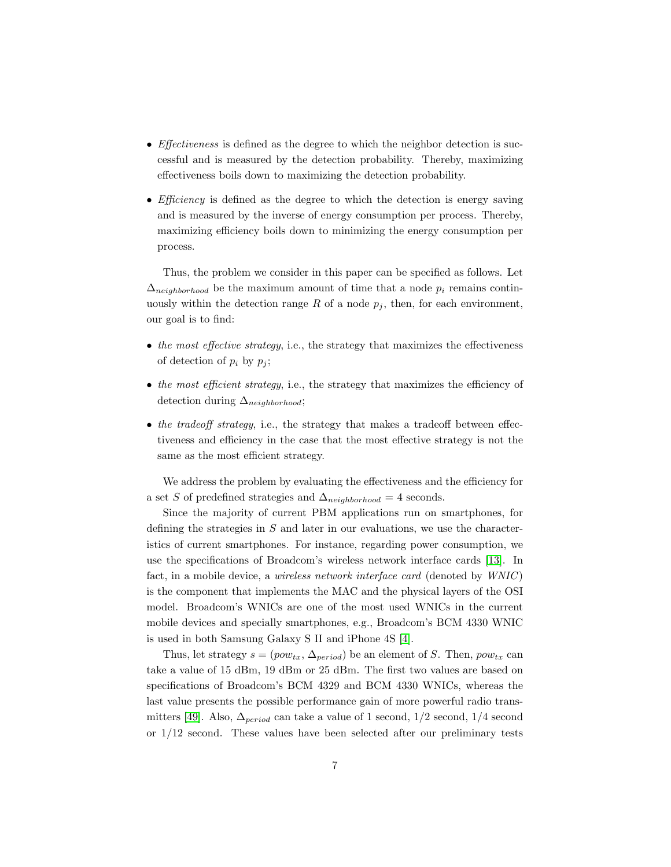- Effectiveness is defined as the degree to which the neighbor detection is successful and is measured by the detection probability. Thereby, maximizing effectiveness boils down to maximizing the detection probability.
- *Efficiency* is defined as the degree to which the detection is energy saving and is measured by the inverse of energy consumption per process. Thereby, maximizing efficiency boils down to minimizing the energy consumption per process.

Thus, the problem we consider in this paper can be specified as follows. Let  $\Delta_{neiahborhood}$  be the maximum amount of time that a node  $p_i$  remains continuously within the detection range R of a node  $p_j$ , then, for each environment, our goal is to find:

- the most effective strategy, i.e., the strategy that maximizes the effectiveness of detection of  $p_i$  by  $p_j$ ;
- the most efficient strategy, i.e., the strategy that maximizes the efficiency of detection during  $\Delta_{neiahborhood}$ ;
- the tradeoff strategy, i.e., the strategy that makes a tradeoff between effectiveness and efficiency in the case that the most effective strategy is not the same as the most efficient strategy.

We address the problem by evaluating the effectiveness and the efficiency for a set S of predefined strategies and  $\Delta_{neighborhood} = 4$  seconds.

Since the majority of current PBM applications run on smartphones, for defining the strategies in  $S$  and later in our evaluations, we use the characteristics of current smartphones. For instance, regarding power consumption, we use the specifications of Broadcom's wireless network interface cards [\[13\]](#page-39-4). In fact, in a mobile device, a *wireless network interface card* (denoted by  $WNIC$ ) is the component that implements the MAC and the physical layers of the OSI model. Broadcom's WNICs are one of the most used WNICs in the current mobile devices and specially smartphones, e.g., Broadcom's BCM 4330 WNIC is used in both Samsung Galaxy S II and iPhone 4S [\[4\]](#page-38-2).

Thus, let strategy  $s = (pow_{tx}, \Delta_{period})$  be an element of S. Then,  $pow_{tx}$  can take a value of 15 dBm, 19 dBm or 25 dBm. The first two values are based on specifications of Broadcom's BCM 4329 and BCM 4330 WNICs, whereas the last value presents the possible performance gain of more powerful radio trans-mitters [\[49\]](#page-42-2). Also,  $\Delta_{period}$  can take a value of 1 second, 1/2 second, 1/4 second or 1/12 second. These values have been selected after our preliminary tests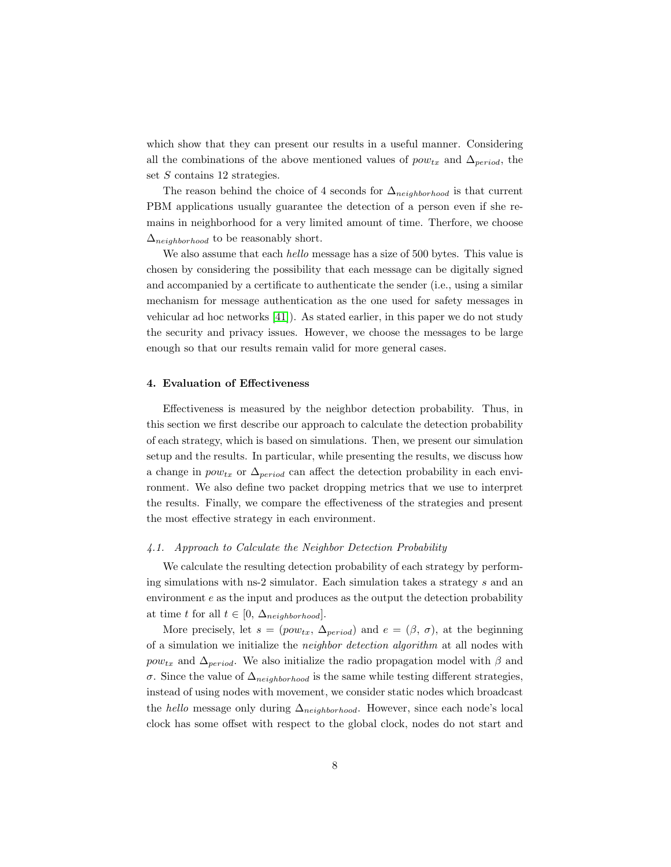which show that they can present our results in a useful manner. Considering all the combinations of the above mentioned values of  $pow_{tx}$  and  $\Delta_{period}$ , the set S contains 12 strategies.

The reason behind the choice of 4 seconds for  $\Delta_{neighborhood}$  is that current PBM applications usually guarantee the detection of a person even if she remains in neighborhood for a very limited amount of time. Therfore, we choose  $\Delta_{neighborhood}$  to be reasonably short.

We also assume that each *hello* message has a size of 500 bytes. This value is chosen by considering the possibility that each message can be digitally signed and accompanied by a certificate to authenticate the sender (i.e., using a similar mechanism for message authentication as the one used for safety messages in vehicular ad hoc networks [\[41\]](#page-41-3)). As stated earlier, in this paper we do not study the security and privacy issues. However, we choose the messages to be large enough so that our results remain valid for more general cases.

#### <span id="page-7-0"></span>4. Evaluation of Effectiveness

Effectiveness is measured by the neighbor detection probability. Thus, in this section we first describe our approach to calculate the detection probability of each strategy, which is based on simulations. Then, we present our simulation setup and the results. In particular, while presenting the results, we discuss how a change in  $pow_{tx}$  or  $\Delta_{period}$  can affect the detection probability in each environment. We also define two packet dropping metrics that we use to interpret the results. Finally, we compare the effectiveness of the strategies and present the most effective strategy in each environment.

### <span id="page-7-1"></span>4.1. Approach to Calculate the Neighbor Detection Probability

We calculate the resulting detection probability of each strategy by performing simulations with ns-2 simulator. Each simulation takes a strategy s and an environment e as the input and produces as the output the detection probability at time t for all  $t \in [0, \Delta_{neighborhood}].$ 

More precisely, let  $s = (pow_{tx}, \Delta_{period})$  and  $e = (\beta, \sigma)$ , at the beginning of a simulation we initialize the neighbor detection algorithm at all nodes with  $pow_{tx}$  and  $\Delta_{period}$ . We also initialize the radio propagation model with  $\beta$  and σ. Since the value of  $\Delta_{neighborhood}$  is the same while testing different strategies, instead of using nodes with movement, we consider static nodes which broadcast the *hello* message only during  $\Delta_{neighborhood}$ . However, since each node's local clock has some offset with respect to the global clock, nodes do not start and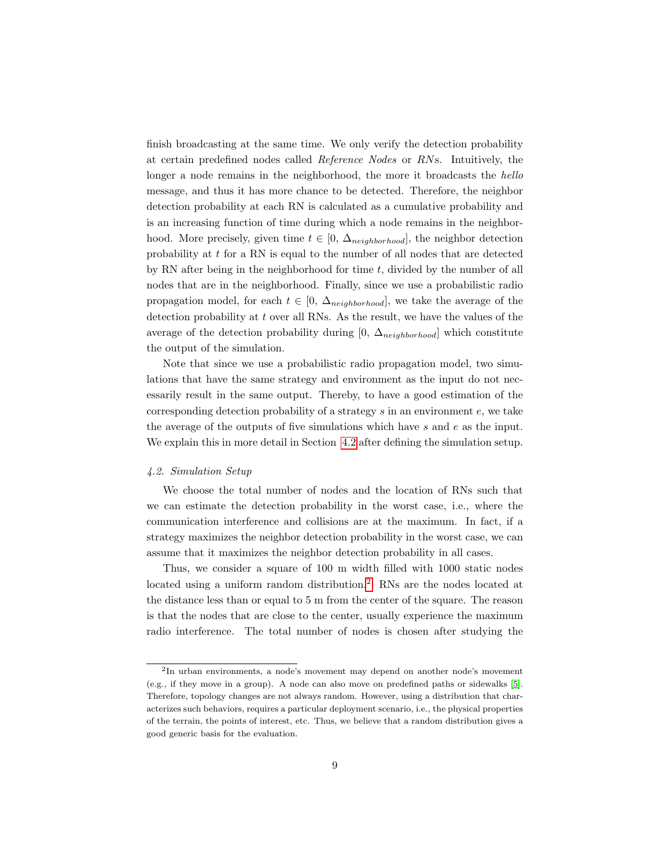finish broadcasting at the same time. We only verify the detection probability at certain predefined nodes called Reference Nodes or RNs. Intuitively, the longer a node remains in the neighborhood, the more it broadcasts the hello message, and thus it has more chance to be detected. Therefore, the neighbor detection probability at each RN is calculated as a cumulative probability and is an increasing function of time during which a node remains in the neighborhood. More precisely, given time  $t \in [0, \Delta_{neighborhood}]$ , the neighbor detection probability at t for a RN is equal to the number of all nodes that are detected by RN after being in the neighborhood for time  $t$ , divided by the number of all nodes that are in the neighborhood. Finally, since we use a probabilistic radio propagation model, for each  $t \in [0, \Delta_{neighborhood}]$ , we take the average of the detection probability at  $t$  over all RNs. As the result, we have the values of the average of the detection probability during [0,  $\Delta_{neighborhood}$ ] which constitute the output of the simulation.

Note that since we use a probabilistic radio propagation model, two simulations that have the same strategy and environment as the input do not necessarily result in the same output. Thereby, to have a good estimation of the corresponding detection probability of a strategy  $s$  in an environment  $e$ , we take the average of the outputs of five simulations which have s and e as the input. We explain this in more detail in Section [4.2](#page-8-0) after defining the simulation setup.

## <span id="page-8-0"></span>4.2. Simulation Setup

We choose the total number of nodes and the location of RNs such that we can estimate the detection probability in the worst case, i.e., where the communication interference and collisions are at the maximum. In fact, if a strategy maximizes the neighbor detection probability in the worst case, we can assume that it maximizes the neighbor detection probability in all cases.

Thus, we consider a square of 100 m width filled with 1000 static nodes located using a uniform random distribution.<sup>[2](#page-0-0)</sup> RNs are the nodes located at the distance less than or equal to 5 m from the center of the square. The reason is that the nodes that are close to the center, usually experience the maximum radio interference. The total number of nodes is chosen after studying the

<sup>&</sup>lt;sup>2</sup>In urban environments, a node's movement may depend on another node's movement (e.g., if they move in a group). A node can also move on predefined paths or sidewalks [\[5\]](#page-38-3). Therefore, topology changes are not always random. However, using a distribution that characterizes such behaviors, requires a particular deployment scenario, i.e., the physical properties of the terrain, the points of interest, etc. Thus, we believe that a random distribution gives a good generic basis for the evaluation.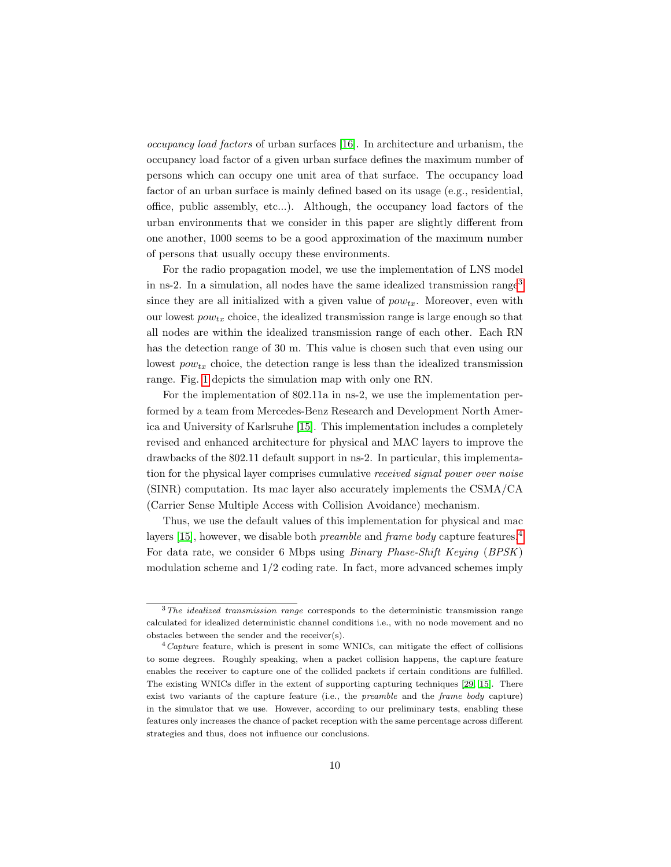occupancy load factors of urban surfaces [\[16\]](#page-39-5). In architecture and urbanism, the occupancy load factor of a given urban surface defines the maximum number of persons which can occupy one unit area of that surface. The occupancy load factor of an urban surface is mainly defined based on its usage (e.g., residential, office, public assembly, etc...). Although, the occupancy load factors of the urban environments that we consider in this paper are slightly different from one another, 1000 seems to be a good approximation of the maximum number of persons that usually occupy these environments.

For the radio propagation model, we use the implementation of LNS model in ns-2. In a simulation, all nodes have the same idealized transmission range<sup>[3](#page-0-0)</sup> since they are all initialized with a given value of  $pow_{tx}$ . Moreover, even with our lowest  $pow_{tx}$  choice, the idealized transmission range is large enough so that all nodes are within the idealized transmission range of each other. Each RN has the detection range of 30 m. This value is chosen such that even using our lowest  $pow_{tx}$  choice, the detection range is less than the idealized transmission range. Fig. [1](#page-10-0) depicts the simulation map with only one RN.

For the implementation of 802.11a in ns-2, we use the implementation performed by a team from Mercedes-Benz Research and Development North America and University of Karlsruhe [\[15\]](#page-39-6). This implementation includes a completely revised and enhanced architecture for physical and MAC layers to improve the drawbacks of the 802.11 default support in ns-2. In particular, this implementation for the physical layer comprises cumulative received signal power over noise (SINR) computation. Its mac layer also accurately implements the CSMA/CA (Carrier Sense Multiple Access with Collision Avoidance) mechanism.

Thus, we use the default values of this implementation for physical and mac layers [\[15\]](#page-39-6), however, we disable both *preamble* and *frame body* capture features.<sup>[4](#page-0-0)</sup> For data rate, we consider 6 Mbps using Binary Phase-Shift Keying (BPSK) modulation scheme and  $1/2$  coding rate. In fact, more advanced schemes imply

 $3$ The idealized transmission range corresponds to the deterministic transmission range calculated for idealized deterministic channel conditions i.e., with no node movement and no obstacles between the sender and the receiver(s).

 $^{4}$ Capture feature, which is present in some WNICs, can mitigate the effect of collisions to some degrees. Roughly speaking, when a packet collision happens, the capture feature enables the receiver to capture one of the collided packets if certain conditions are fulfilled. The existing WNICs differ in the extent of supporting capturing techniques [\[29,](#page-40-2) [15\]](#page-39-6). There exist two variants of the capture feature (i.e., the *preamble* and the *frame body* capture) in the simulator that we use. However, according to our preliminary tests, enabling these features only increases the chance of packet reception with the same percentage across different strategies and thus, does not influence our conclusions.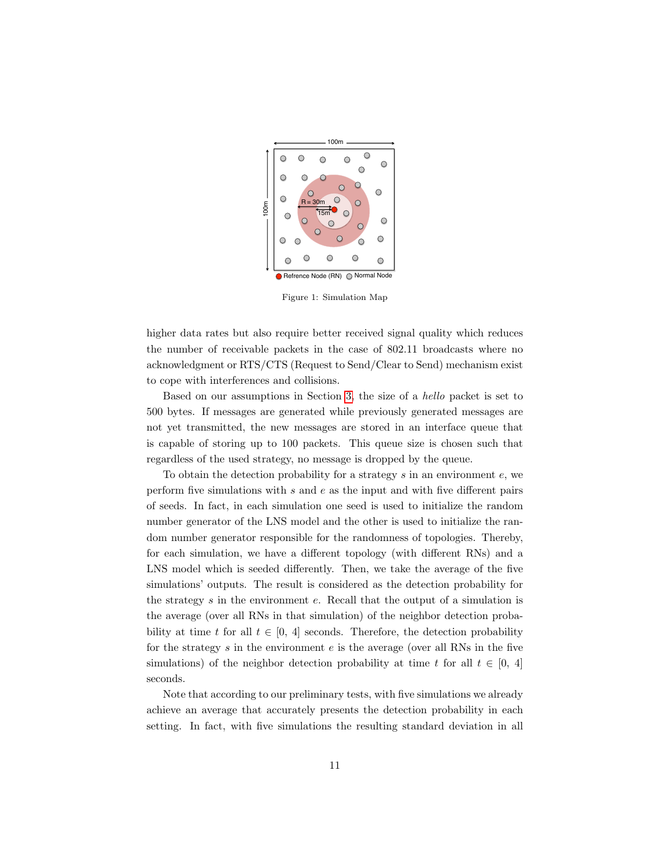<span id="page-10-0"></span>

Figure 1: Simulation Map

higher data rates but also require better received signal quality which reduces the number of receivable packets in the case of 802.11 broadcasts where no acknowledgment or RTS/CTS (Request to Send/Clear to Send) mechanism exist to cope with interferences and collisions.

Based on our assumptions in Section [3,](#page-5-0) the size of a hello packet is set to 500 bytes. If messages are generated while previously generated messages are not yet transmitted, the new messages are stored in an interface queue that is capable of storing up to 100 packets. This queue size is chosen such that regardless of the used strategy, no message is dropped by the queue.

To obtain the detection probability for a strategy  $s$  in an environment  $e$ , we perform five simulations with s and e as the input and with five different pairs of seeds. In fact, in each simulation one seed is used to initialize the random number generator of the LNS model and the other is used to initialize the random number generator responsible for the randomness of topologies. Thereby, for each simulation, we have a different topology (with different RNs) and a LNS model which is seeded differently. Then, we take the average of the five simulations' outputs. The result is considered as the detection probability for the strategy s in the environment e. Recall that the output of a simulation is the average (over all RNs in that simulation) of the neighbor detection probability at time t for all  $t \in [0, 4]$  seconds. Therefore, the detection probability for the strategy  $s$  in the environment  $e$  is the average (over all RNs in the five simulations) of the neighbor detection probability at time t for all  $t \in [0, 4]$ seconds.

Note that according to our preliminary tests, with five simulations we already achieve an average that accurately presents the detection probability in each setting. In fact, with five simulations the resulting standard deviation in all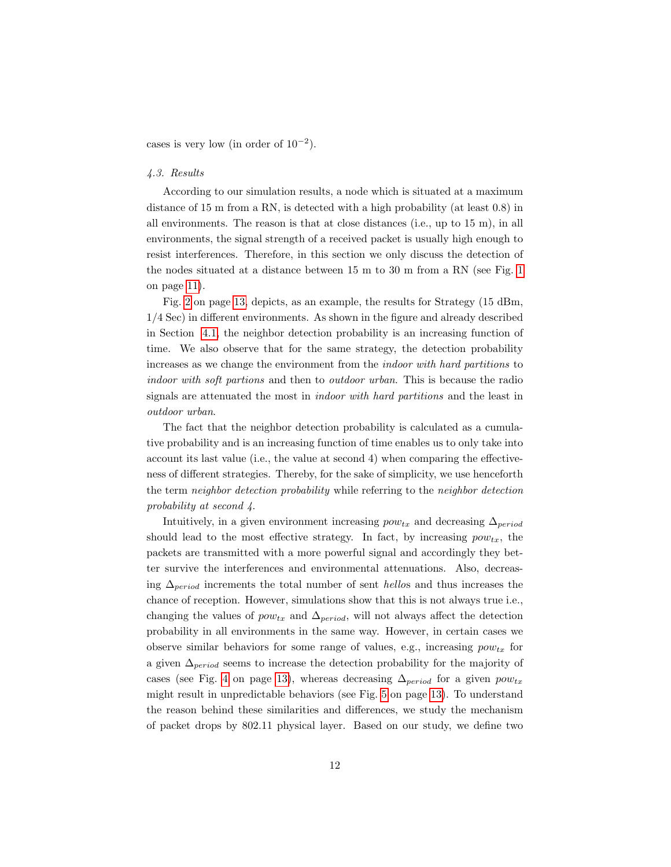cases is very low (in order of  $10^{-2}$ ).

## 4.3. Results

According to our simulation results, a node which is situated at a maximum distance of 15 m from a RN, is detected with a high probability (at least 0.8) in all environments. The reason is that at close distances (i.e., up to 15 m), in all environments, the signal strength of a received packet is usually high enough to resist interferences. Therefore, in this section we only discuss the detection of the nodes situated at a distance between 15 m to 30 m from a RN (see Fig. [1](#page-10-0) on page [11\)](#page-10-0).

Fig. [2](#page-12-0) on page [13,](#page-12-0) depicts, as an example, the results for Strategy (15 dBm, 1/4 Sec) in different environments. As shown in the figure and already described in Section [4.1,](#page-7-1) the neighbor detection probability is an increasing function of time. We also observe that for the same strategy, the detection probability increases as we change the environment from the indoor with hard partitions to indoor with soft partions and then to outdoor urban. This is because the radio signals are attenuated the most in indoor with hard partitions and the least in outdoor urban.

The fact that the neighbor detection probability is calculated as a cumulative probability and is an increasing function of time enables us to only take into account its last value (i.e., the value at second 4) when comparing the effectiveness of different strategies. Thereby, for the sake of simplicity, we use henceforth the term neighbor detection probability while referring to the neighbor detection probability at second 4.

Intuitively, in a given environment increasing  $pow_{tx}$  and decreasing  $\Delta_{period}$ should lead to the most effective strategy. In fact, by increasing  $pow_{tx}$ , the packets are transmitted with a more powerful signal and accordingly they better survive the interferences and environmental attenuations. Also, decreasing  $\Delta_{period}$  increments the total number of sent hellos and thus increases the chance of reception. However, simulations show that this is not always true i.e., changing the values of  $pow_{tx}$  and  $\Delta_{period}$ , will not always affect the detection probability in all environments in the same way. However, in certain cases we observe similar behaviors for some range of values, e.g., increasing  $pow_{tx}$  for a given  $\Delta_{period}$  seems to increase the detection probability for the majority of cases (see Fig. [4](#page-12-0) on page [13\)](#page-12-0), whereas decreasing  $\Delta_{period}$  for a given  $pow_{tx}$ might result in unpredictable behaviors (see Fig. [5](#page-12-0) on page [13\)](#page-12-0). To understand the reason behind these similarities and differences, we study the mechanism of packet drops by 802.11 physical layer. Based on our study, we define two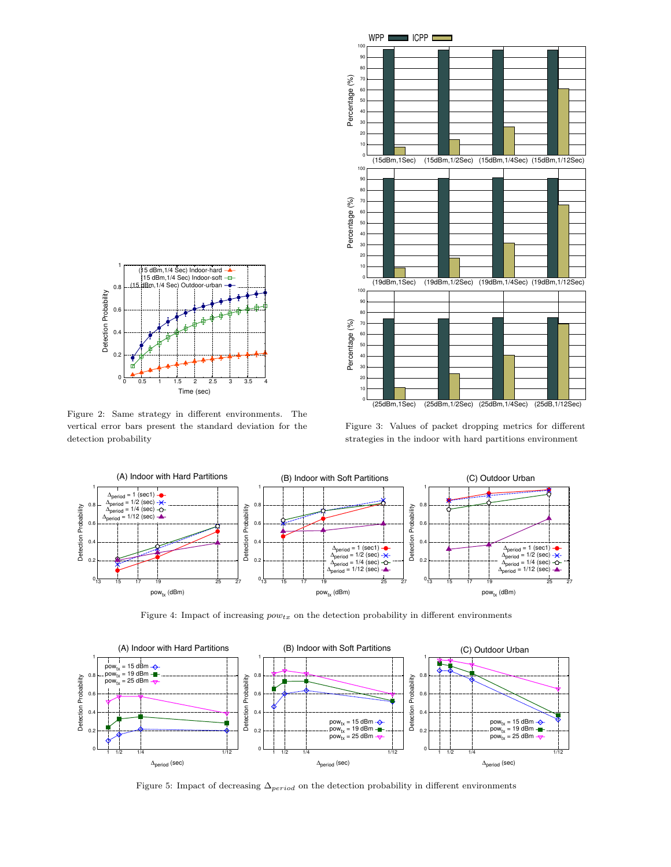<span id="page-12-0"></span>

Figure 2: Same strategy in different environments. The vertical error bars present the standard deviation for the detection probability



Figure 3: Values of packet dropping metrics for different strategies in the indoor with hard partitions environment



Figure 4: Impact of increasing  $pow_{tx}$  on the detection probability in different environments



Figure 5: Impact of decreasing  $\Delta_{period}$  on the detection probability in different environments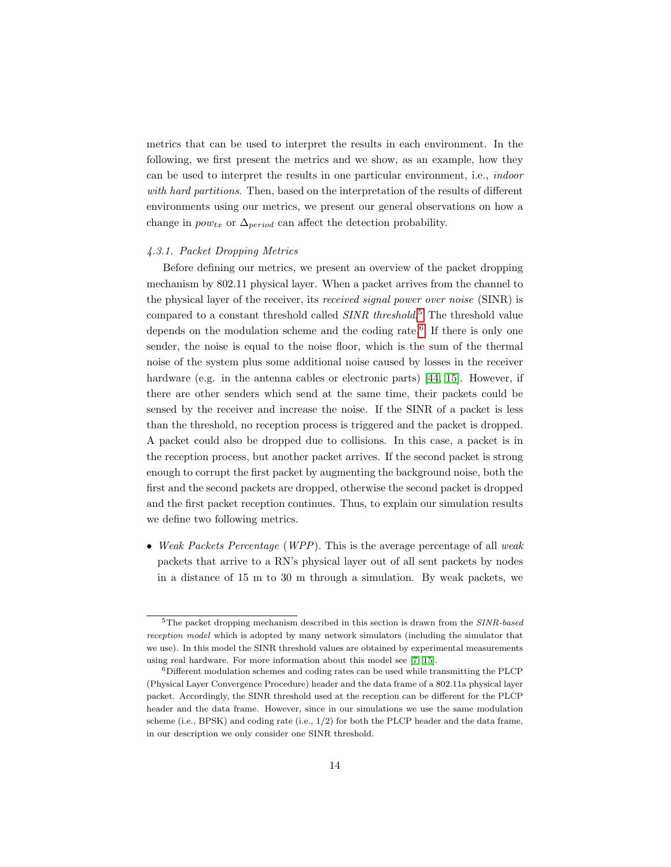metrics that can be used to interpret the results in each environment. In the following, we first present the metrics and we show, as an example, how they can be used to interpret the results in one particular environment, i.e., indoor with hard partitions. Then, based on the interpretation of the results of different environments using our metrics, we present our general observations on how a change in  $pow_{tx}$  or  $\Delta_{period}$  can affect the detection probability.

## 4.3.1. Packet Dropping Metrics

Before defining our metrics, we present an overview of the packet dropping mechanism by 802.11 physical layer. When a packet arrives from the channel to the physical layer of the receiver, its received signal power over noise (SINR) is compared to a constant threshold called  $SINR$  threshold.<sup>[5](#page-0-0)</sup> The threshold value depends on the modulation scheme and the coding rate.<sup>[6](#page-0-0)</sup> If there is only one sender, the noise is equal to the noise floor, which is the sum of the thermal noise of the system plus some additional noise caused by losses in the receiver hardware (e.g. in the antenna cables or electronic parts) [\[44,](#page-41-4) [15\]](#page-39-6). However, if there are other senders which send at the same time, their packets could be sensed by the receiver and increase the noise. If the SINR of a packet is less than the threshold, no reception process is triggered and the packet is dropped. A packet could also be dropped due to collisions. In this case, a packet is in the reception process, but another packet arrives. If the second packet is strong enough to corrupt the first packet by augmenting the background noise, both the first and the second packets are dropped, otherwise the second packet is dropped and the first packet reception continues. Thus, to explain our simulation results we define two following metrics.

• Weak Packets Percentage (WPP). This is the average percentage of all weak packets that arrive to a RN's physical layer out of all sent packets by nodes in a distance of 15 m to 30 m through a simulation. By weak packets, we

<sup>&</sup>lt;sup>5</sup>The packet dropping mechanism described in this section is drawn from the *SINR-based* reception model which is adopted by many network simulators (including the simulator that we use). In this model the SINR threshold values are obtained by experimental measurements using real hardware. For more information about this model see [\[7,](#page-39-7) [15\]](#page-39-6).

<sup>6</sup>Different modulation schemes and coding rates can be used while transmitting the PLCP (Physical Layer Convergence Procedure) header and the data frame of a 802.11a physical layer packet. Accordingly, the SINR threshold used at the reception can be different for the PLCP header and the data frame. However, since in our simulations we use the same modulation scheme (i.e., BPSK) and coding rate (i.e., 1/2) for both the PLCP header and the data frame, in our description we only consider one SINR threshold.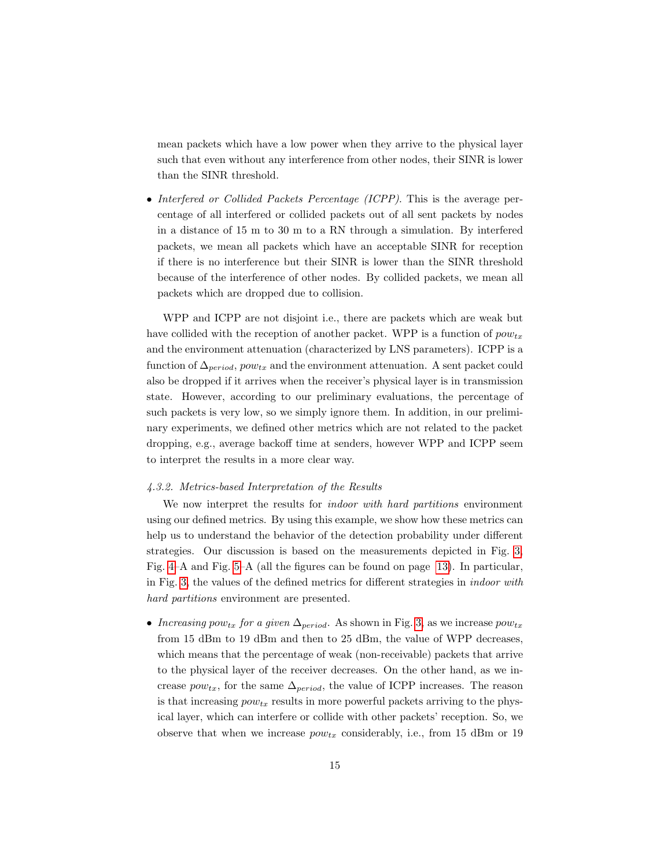mean packets which have a low power when they arrive to the physical layer such that even without any interference from other nodes, their SINR is lower than the SINR threshold.

• Interfered or Collided Packets Percentage (ICPP). This is the average percentage of all interfered or collided packets out of all sent packets by nodes in a distance of 15 m to 30 m to a RN through a simulation. By interfered packets, we mean all packets which have an acceptable SINR for reception if there is no interference but their SINR is lower than the SINR threshold because of the interference of other nodes. By collided packets, we mean all packets which are dropped due to collision.

WPP and ICPP are not disjoint i.e., there are packets which are weak but have collided with the reception of another packet. WPP is a function of  $pow_{tx}$ and the environment attenuation (characterized by LNS parameters). ICPP is a function of  $\Delta_{period}$ ,  $pow_{tx}$  and the environment attenuation. A sent packet could also be dropped if it arrives when the receiver's physical layer is in transmission state. However, according to our preliminary evaluations, the percentage of such packets is very low, so we simply ignore them. In addition, in our preliminary experiments, we defined other metrics which are not related to the packet dropping, e.g., average backoff time at senders, however WPP and ICPP seem to interpret the results in a more clear way.

#### 4.3.2. Metrics-based Interpretation of the Results

We now interpret the results for *indoor with hard partitions* environment using our defined metrics. By using this example, we show how these metrics can help us to understand the behavior of the detection probability under different strategies. Our discussion is based on the measurements depicted in Fig. [3,](#page-12-0) Fig. [4–](#page-12-0)A and Fig. [5–](#page-12-0)A (all the figures can be found on page [13\)](#page-12-0). In particular, in Fig. [3,](#page-12-0) the values of the defined metrics for different strategies in indoor with hard partitions environment are presented.

• Increasing pow<sub>tx</sub> for a given  $\Delta_{period}$ . As shown in Fig. [3,](#page-12-0) as we increase  $pow_{tx}$ from 15 dBm to 19 dBm and then to 25 dBm, the value of WPP decreases, which means that the percentage of weak (non-receivable) packets that arrive to the physical layer of the receiver decreases. On the other hand, as we increase  $pow_{tx}$ , for the same  $\Delta_{period}$ , the value of ICPP increases. The reason is that increasing  $pow_{tx}$  results in more powerful packets arriving to the physical layer, which can interfere or collide with other packets' reception. So, we observe that when we increase  $pow_{tx}$  considerably, i.e., from 15 dBm or 19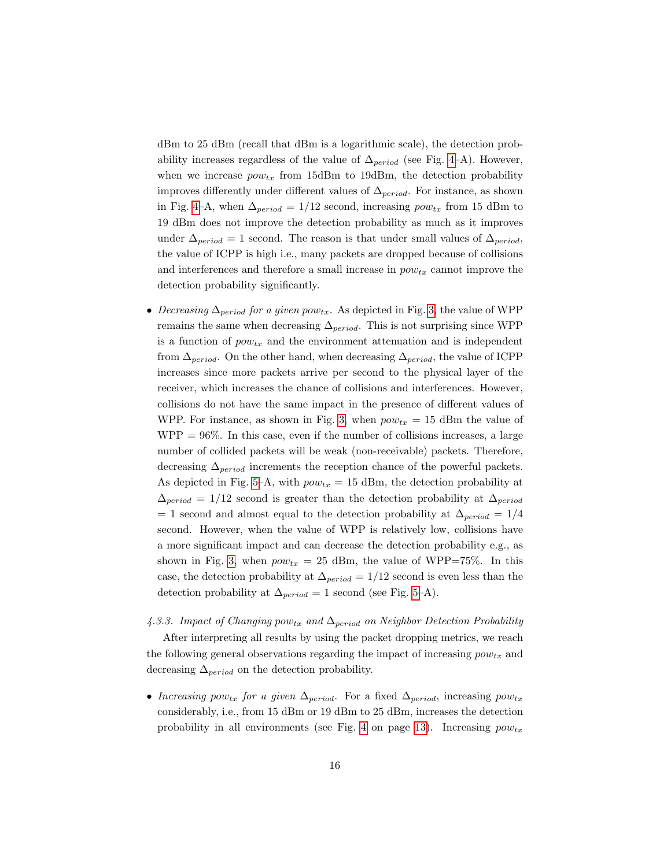dBm to 25 dBm (recall that dBm is a logarithmic scale), the detection probability increases regardless of the value of  $\Delta_{period}$  (see Fig. [4–](#page-12-0)A). However, when we increase  $pow_{tx}$  from 15dBm to 19dBm, the detection probability improves differently under different values of  $\Delta_{period}$ . For instance, as shown in Fig. [4–](#page-12-0)A, when  $\Delta_{period} = 1/12$  second, increasing  $pow_{tx}$  from 15 dBm to 19 dBm does not improve the detection probability as much as it improves under  $\Delta_{period} = 1$  second. The reason is that under small values of  $\Delta_{period}$ , the value of ICPP is high i.e., many packets are dropped because of collisions and interferences and therefore a small increase in  $pow_{tx}$  cannot improve the detection probability significantly.

• Decreasing  $\Delta_{period}$  for a given pow<sub>tx</sub>. As depicted in Fig. [3,](#page-12-0) the value of WPP remains the same when decreasing  $\Delta_{period}$ . This is not surprising since WPP is a function of  $pow_{tx}$  and the environment attenuation and is independent from  $\Delta_{period}$ . On the other hand, when decreasing  $\Delta_{period}$ , the value of ICPP increases since more packets arrive per second to the physical layer of the receiver, which increases the chance of collisions and interferences. However, collisions do not have the same impact in the presence of different values of WPP. For instance, as shown in Fig. [3,](#page-12-0) when  $pow_{tx} = 15$  dBm the value of  $WPP = 96\%$ . In this case, even if the number of collisions increases, a large number of collided packets will be weak (non-receivable) packets. Therefore, decreasing  $\Delta_{period}$  increments the reception chance of the powerful packets. As depicted in Fig. [5–](#page-12-0)A, with  $pow_{tx} = 15$  dBm, the detection probability at  $\Delta_{period} = 1/12$  second is greater than the detection probability at  $\Delta_{period}$ = 1 second and almost equal to the detection probability at  $\Delta_{period} = 1/4$ second. However, when the value of WPP is relatively low, collisions have a more significant impact and can decrease the detection probability e.g., as shown in Fig. [3,](#page-12-0) when  $pow_{tx} = 25$  dBm, the value of WPP=75%. In this case, the detection probability at  $\Delta_{period} = 1/12$  second is even less than the detection probability at  $\Delta_{period} = 1$  second (see Fig. [5–](#page-12-0)A).

## <span id="page-15-0"></span>4.3.3. Impact of Changing pow<sub>tx</sub> and  $\Delta_{period}$  on Neighbor Detection Probability

After interpreting all results by using the packet dropping metrics, we reach the following general observations regarding the impact of increasing  $pow_{tx}$  and decreasing  $\Delta_{period}$  on the detection probability.

• Increasing pow<sub>tx</sub> for a given  $\Delta_{period}$ . For a fixed  $\Delta_{period}$ , increasing pow<sub>tx</sub> considerably, i.e., from 15 dBm or 19 dBm to 25 dBm, increases the detection probability in all environments (see Fig. [4](#page-12-0) on page [13\)](#page-12-0). Increasing  $pow_{tx}$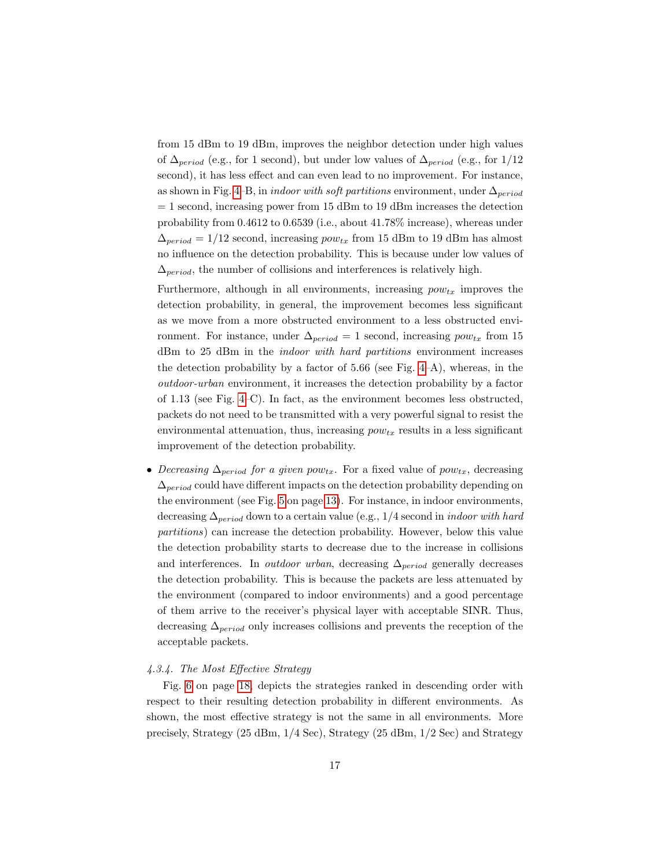from 15 dBm to 19 dBm, improves the neighbor detection under high values of  $\Delta_{period}$  (e.g., for 1 second), but under low values of  $\Delta_{period}$  (e.g., for 1/12 second), it has less effect and can even lead to no improvement. For instance, as shown in Fig. [4–](#page-12-0)B, in *indoor with soft partitions* environment, under  $\Delta_{period}$  $= 1$  second, increasing power from 15 dBm to 19 dBm increases the detection probability from 0.4612 to 0.6539 (i.e., about 41.78% increase), whereas under  $\Delta_{period} = 1/12$  second, increasing  $pow_{tx}$  from 15 dBm to 19 dBm has almost no influence on the detection probability. This is because under low values of  $\Delta_{period}$ , the number of collisions and interferences is relatively high.

Furthermore, although in all environments, increasing  $pow_{tx}$  improves the detection probability, in general, the improvement becomes less significant as we move from a more obstructed environment to a less obstructed environment. For instance, under  $\Delta_{period} = 1$  second, increasing  $pow_{tx}$  from 15 dBm to 25 dBm in the indoor with hard partitions environment increases the detection probability by a factor of 5.66 (see Fig. [4–](#page-12-0)A), whereas, in the outdoor-urban environment, it increases the detection probability by a factor of 1.13 (see Fig. [4–](#page-12-0)C). In fact, as the environment becomes less obstructed, packets do not need to be transmitted with a very powerful signal to resist the environmental attenuation, thus, increasing  $pow_{tx}$  results in a less significant improvement of the detection probability.

• Decreasing  $\Delta_{period}$  for a given pow<sub>tx</sub>. For a fixed value of pow<sub>tx</sub>, decreasing  $\Delta_{period}$  could have different impacts on the detection probability depending on the environment (see Fig. [5](#page-12-0) on page [13\)](#page-12-0). For instance, in indoor environments, decreasing  $\Delta_{period}$  down to a certain value (e.g., 1/4 second in *indoor with hard* partitions) can increase the detection probability. However, below this value the detection probability starts to decrease due to the increase in collisions and interferences. In *outdoor urban*, decreasing  $\Delta_{period}$  generally decreases the detection probability. This is because the packets are less attenuated by the environment (compared to indoor environments) and a good percentage of them arrive to the receiver's physical layer with acceptable SINR. Thus, decreasing  $\Delta_{period}$  only increases collisions and prevents the reception of the acceptable packets.

#### 4.3.4. The Most Effective Strategy

Fig. [6](#page-17-0) on page [18,](#page-17-0) depicts the strategies ranked in descending order with respect to their resulting detection probability in different environments. As shown, the most effective strategy is not the same in all environments. More precisely, Strategy (25 dBm, 1/4 Sec), Strategy (25 dBm, 1/2 Sec) and Strategy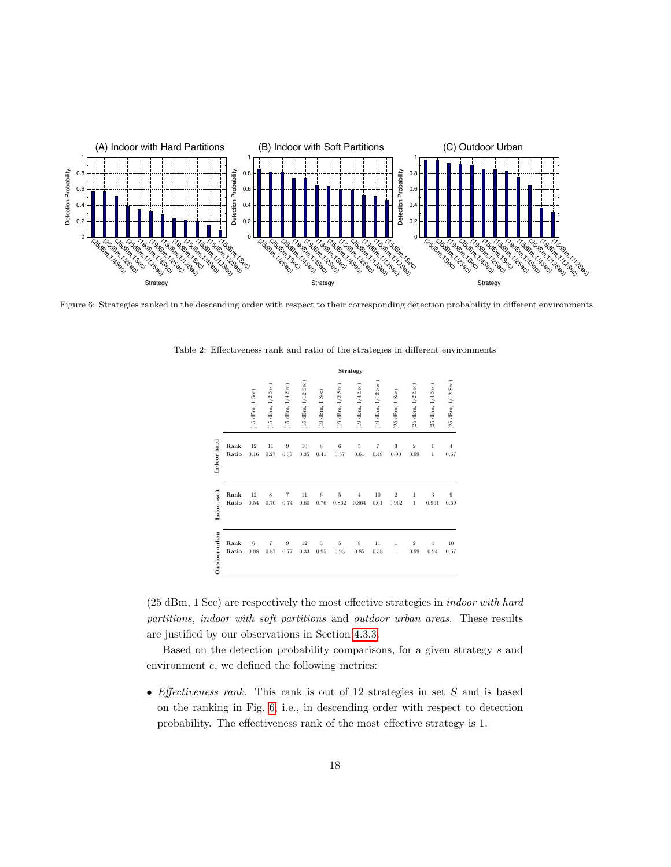<span id="page-17-0"></span>

Figure 6: Strategies ranked in the descending order with respect to their corresponding detection probability in different environments

|               | Strategy |                                   |                       |                       |                        |                     |                       |                       |                        |                     |                       |                       |                                      |
|---------------|----------|-----------------------------------|-----------------------|-----------------------|------------------------|---------------------|-----------------------|-----------------------|------------------------|---------------------|-----------------------|-----------------------|--------------------------------------|
|               |          | $(15 \text{ dBm}, 1 \text{ Sec})$ | $(15$ dBm, $1/2$ Sec) | $(15$ dBm, $1/4$ Sec) | $(15$ dBm, $1/12$ Sec) | $(19$ dBm, $1$ Sec) | $(19$ dBm, $1/2$ Sec) | $(19$ dBm, $1/4$ Sec) | $(19$ dBm, $1/12$ Sec) | $(25$ dBm, $1$ Sec) | $(25$ dBm, $1/2$ Sec) | $(25$ dBm, $1/4$ Sec) | $(25 \text{ dBm}, 1/12 \text{ Sec})$ |
| Indoor-hard   | Rank     | $12\,$                            | 11                    | $\boldsymbol{9}$      | $10\,$                 | 8                   | 6                     | $\bf 5$               | $\overline{7}$         | $\sqrt{3}$          | $\overline{2}$        | $\mathbf{1}$          | $\,4\,$                              |
|               | Ratio    | 0.16                              | 0.27                  | 0.37                  | 0.35                   | 0.41                | 0.57                  | 0.61                  | 0.49                   | 0.90                | 0.99                  | $\mathbf{1}$          | 0.67                                 |
| Indoor-soft   | Rank     | 12                                | 8                     | 7                     | 11                     | 6                   | 5                     | $\overline{4}$        | 10                     | $\overline{2}$      | 1                     | 3                     | $\boldsymbol{9}$                     |
|               | Ratio    | 0.54                              | 0.70                  | 0.74                  | 0.60                   | 0.76                | 0.862                 | 0.864                 | 0.61                   | 0.962               | $\mathbf{1}$          | 0.961                 | 0.69                                 |
| Outdoor-urban | Rank     | 6                                 | $\overline{7}$        | 9                     | 12                     | 3                   | 5                     | 8                     | 11                     | 1                   | $\overline{2}$        | $\overline{4}$        | $10\,$                               |
|               | Ratio    | 0.88                              | 0.87                  | 0.77                  | 0.33                   | 0.95                | 0.93                  | 0.85                  | 0.38                   | 1                   | 0.99                  | 0.94                  | 0.67                                 |

<span id="page-17-1"></span>Table 2: Effectiveness rank and ratio of the strategies in different environments

(25 dBm, 1 Sec) are respectively the most effective strategies in indoor with hard partitions, indoor with soft partitions and outdoor urban areas. These results are justified by our observations in Section [4.3.3.](#page-15-0)

Based on the detection probability comparisons, for a given strategy s and environment e, we defined the following metrics:

• *Effectiveness rank*. This rank is out of 12 strategies in set  $S$  and is based on the ranking in Fig. [6,](#page-17-0) i.e., in descending order with respect to detection probability. The effectiveness rank of the most effective strategy is 1.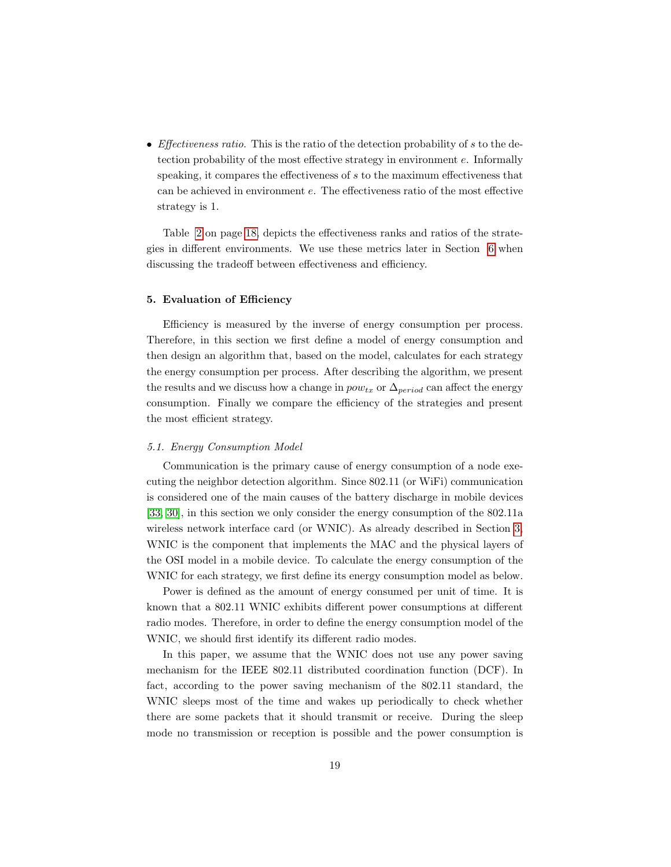• *Effectiveness ratio*. This is the ratio of the detection probability of  $s$  to the detection probability of the most effective strategy in environment e. Informally speaking, it compares the effectiveness of s to the maximum effectiveness that can be achieved in environment e. The effectiveness ratio of the most effective strategy is 1.

Table [2](#page-17-1) on page [18,](#page-17-1) depicts the effectiveness ranks and ratios of the strategies in different environments. We use these metrics later in Section [6](#page-27-0) when discussing the tradeoff between effectiveness and efficiency.

#### <span id="page-18-0"></span>5. Evaluation of Efficiency

Efficiency is measured by the inverse of energy consumption per process. Therefore, in this section we first define a model of energy consumption and then design an algorithm that, based on the model, calculates for each strategy the energy consumption per process. After describing the algorithm, we present the results and we discuss how a change in  $pow_{tx}$  or  $\Delta_{period}$  can affect the energy consumption. Finally we compare the efficiency of the strategies and present the most efficient strategy.

#### <span id="page-18-1"></span>5.1. Energy Consumption Model

Communication is the primary cause of energy consumption of a node executing the neighbor detection algorithm. Since 802.11 (or WiFi) communication is considered one of the main causes of the battery discharge in mobile devices [\[33,](#page-41-5) [30\]](#page-40-3), in this section we only consider the energy consumption of the 802.11a wireless network interface card (or WNIC). As already described in Section [3,](#page-5-0) WNIC is the component that implements the MAC and the physical layers of the OSI model in a mobile device. To calculate the energy consumption of the WNIC for each strategy, we first define its energy consumption model as below.

Power is defined as the amount of energy consumed per unit of time. It is known that a 802.11 WNIC exhibits different power consumptions at different radio modes. Therefore, in order to define the energy consumption model of the WNIC, we should first identify its different radio modes.

In this paper, we assume that the WNIC does not use any power saving mechanism for the IEEE 802.11 distributed coordination function (DCF). In fact, according to the power saving mechanism of the 802.11 standard, the WNIC sleeps most of the time and wakes up periodically to check whether there are some packets that it should transmit or receive. During the sleep mode no transmission or reception is possible and the power consumption is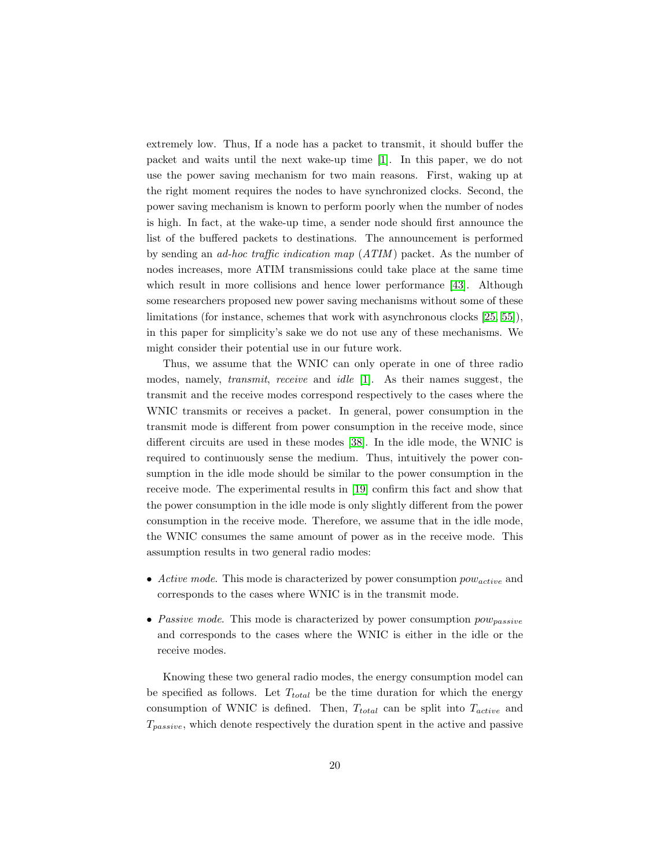extremely low. Thus, If a node has a packet to transmit, it should buffer the packet and waits until the next wake-up time [\[1\]](#page-38-4). In this paper, we do not use the power saving mechanism for two main reasons. First, waking up at the right moment requires the nodes to have synchronized clocks. Second, the power saving mechanism is known to perform poorly when the number of nodes is high. In fact, at the wake-up time, a sender node should first announce the list of the buffered packets to destinations. The announcement is performed by sending an ad-hoc traffic indication map (ATIM ) packet. As the number of nodes increases, more ATIM transmissions could take place at the same time which result in more collisions and hence lower performance [\[43\]](#page-41-6). Although some researchers proposed new power saving mechanisms without some of these limitations (for instance, schemes that work with asynchronous clocks [\[25,](#page-40-4) [55\]](#page-42-3)), in this paper for simplicity's sake we do not use any of these mechanisms. We might consider their potential use in our future work.

Thus, we assume that the WNIC can only operate in one of three radio modes, namely, transmit, receive and idle [\[1\]](#page-38-4). As their names suggest, the transmit and the receive modes correspond respectively to the cases where the WNIC transmits or receives a packet. In general, power consumption in the transmit mode is different from power consumption in the receive mode, since different circuits are used in these modes [\[38\]](#page-41-7). In the idle mode, the WNIC is required to continuously sense the medium. Thus, intuitively the power consumption in the idle mode should be similar to the power consumption in the receive mode. The experimental results in [\[19\]](#page-39-8) confirm this fact and show that the power consumption in the idle mode is only slightly different from the power consumption in the receive mode. Therefore, we assume that in the idle mode, the WNIC consumes the same amount of power as in the receive mode. This assumption results in two general radio modes:

- Active mode. This mode is characterized by power consumption  $pow_{active}$  and corresponds to the cases where WNIC is in the transmit mode.
- Passive mode. This mode is characterized by power consumption  $pow_{passive}$ and corresponds to the cases where the WNIC is either in the idle or the receive modes.

Knowing these two general radio modes, the energy consumption model can be specified as follows. Let  $T_{total}$  be the time duration for which the energy consumption of WNIC is defined. Then,  $T_{total}$  can be split into  $T_{active}$  and  $T_{passive}$ , which denote respectively the duration spent in the active and passive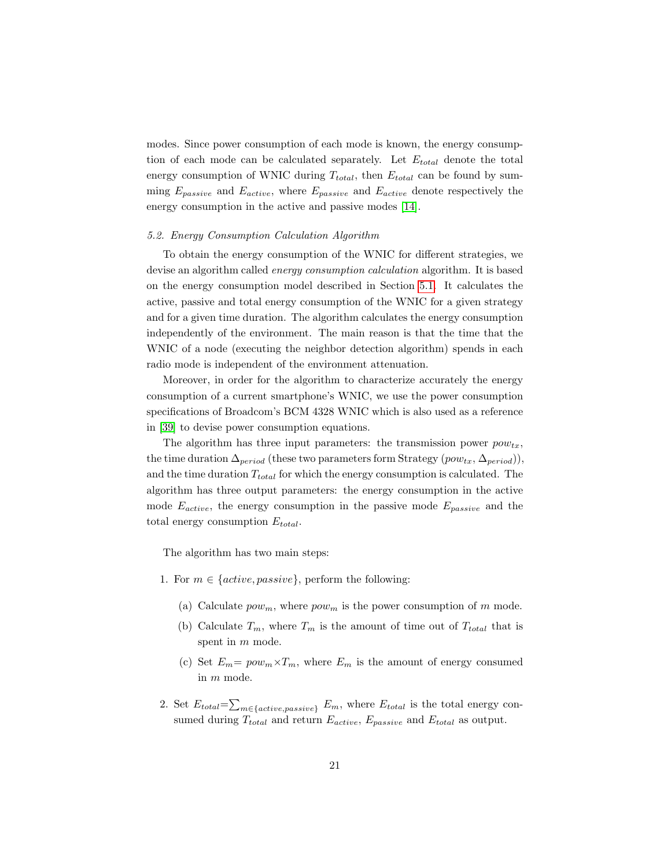modes. Since power consumption of each mode is known, the energy consumption of each mode can be calculated separately. Let  $E_{total}$  denote the total energy consumption of WNIC during  $T_{total}$ , then  $E_{total}$  can be found by summing  $E_{passive}$  and  $E_{active}$ , where  $E_{passive}$  and  $E_{active}$  denote respectively the energy consumption in the active and passive modes [\[14\]](#page-39-9).

#### 5.2. Energy Consumption Calculation Algorithm

To obtain the energy consumption of the WNIC for different strategies, we devise an algorithm called energy consumption calculation algorithm. It is based on the energy consumption model described in Section [5.1.](#page-18-1) It calculates the active, passive and total energy consumption of the WNIC for a given strategy and for a given time duration. The algorithm calculates the energy consumption independently of the environment. The main reason is that the time that the WNIC of a node (executing the neighbor detection algorithm) spends in each radio mode is independent of the environment attenuation.

Moreover, in order for the algorithm to characterize accurately the energy consumption of a current smartphone's WNIC, we use the power consumption specifications of Broadcom's BCM 4328 WNIC which is also used as a reference in [\[39\]](#page-41-8) to devise power consumption equations.

The algorithm has three input parameters: the transmission power  $pow_{tx}$ , the time duration  $\Delta_{period}$  (these two parameters form Strategy  $(pow_{tx}, \Delta_{period})$ ), and the time duration  $T_{total}$  for which the energy consumption is calculated. The algorithm has three output parameters: the energy consumption in the active mode  $E_{active}$ , the energy consumption in the passive mode  $E_{passive}$  and the total energy consumption  $E_{total}$ .

The algorithm has two main steps:

- <span id="page-20-1"></span><span id="page-20-0"></span>1. For  $m \in \{active, passive\}$ , perform the following:
	- (a) Calculate  $pow_m$ , where  $pow_m$  is the power consumption of m mode.
	- (b) Calculate  $T_m$ , where  $T_m$  is the amount of time out of  $T_{total}$  that is spent in m mode.
	- (c) Set  $E_m = pow_m \times T_m$ , where  $E_m$  is the amount of energy consumed in m mode.
- 2. Set  $E_{total} = \sum_{m \in \{active, passive\}} E_m$ , where  $E_{total}$  is the total energy consumed during  $T_{total}$  and return  $E_{active}$ ,  $E_{passive}$  and  $E_{total}$  as output.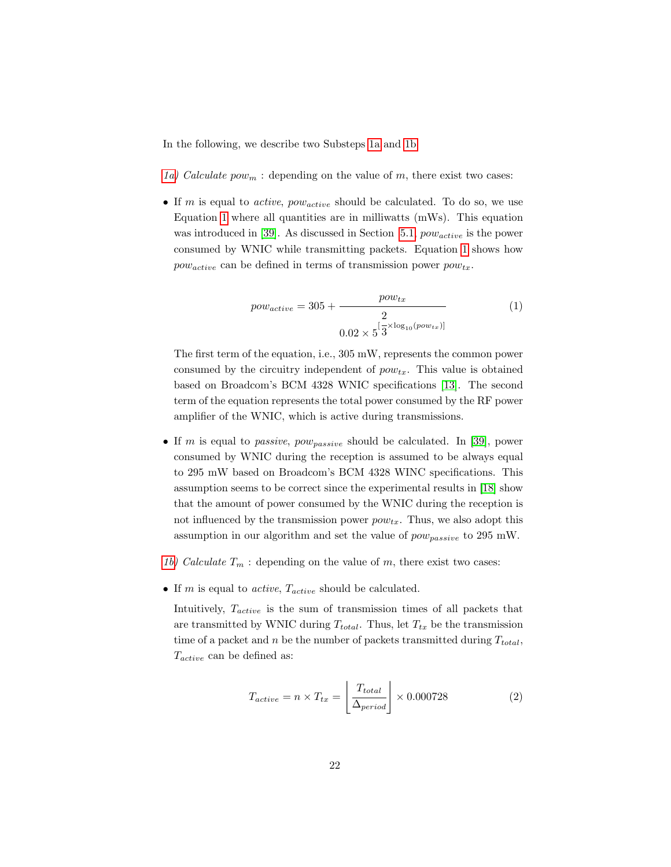In the following, we describe two Substeps [1a](#page-20-0) and [1b.](#page-20-1)

- [1a\)](#page-20-0) Calculate  $pow_m$ : depending on the value of m, there exist two cases:
- <span id="page-21-0"></span>• If m is equal to *active*,  $pow_{active}$  should be calculated. To do so, we use Equation [1](#page-21-0) where all quantities are in milliwatts  $(mWs)$ . This equation was introduced in [\[39\]](#page-41-8). As discussed in Section [5.1,](#page-18-1)  $pow_{active}$  is the power consumed by WNIC while transmitting packets. Equation [1](#page-21-0) shows how  $pow_{active}$  can be defined in terms of transmission power  $pow_{tx}$ .

$$
pow_{active} = 305 + \frac{pow_{tx}}{2}
$$
(1)  
 
$$
0.02 \times 5^{\left[\frac{1}{3} \times \log_{10}(pow_{tx})\right]}
$$

The first term of the equation, i.e., 305 mW, represents the common power consumed by the circuitry independent of  $pow_{tx}$ . This value is obtained based on Broadcom's BCM 4328 WNIC specifications [\[13\]](#page-39-4). The second term of the equation represents the total power consumed by the RF power amplifier of the WNIC, which is active during transmissions.

- If m is equal to *passive, pow<sub>passive</sub>* should be calculated. In [\[39\]](#page-41-8), power consumed by WNIC during the reception is assumed to be always equal to 295 mW based on Broadcom's BCM 4328 WINC specifications. This assumption seems to be correct since the experimental results in [\[18\]](#page-39-10) show that the amount of power consumed by the WNIC during the reception is not influenced by the transmission power  $pow_{tx}$ . Thus, we also adopt this assumption in our algorithm and set the value of  $pow_{passive}$  to 295 mW.
- [1b\)](#page-20-1) Calculate  $T_m$ : depending on the value of m, there exist two cases:
- If  $m$  is equal to *active*,  $T_{active}$  should be calculated.

<span id="page-21-1"></span>Intuitively,  $T_{active}$  is the sum of transmission times of all packets that are transmitted by WNIC during  $T_{total}$ . Thus, let  $T_{tx}$  be the transmission time of a packet and n be the number of packets transmitted during  $T_{total}$ ,  $T_{active}$  can be defined as:

$$
T_{active} = n \times T_{tx} = \left\lfloor \frac{T_{total}}{\Delta_{period}} \right\rfloor \times 0.000728 \tag{2}
$$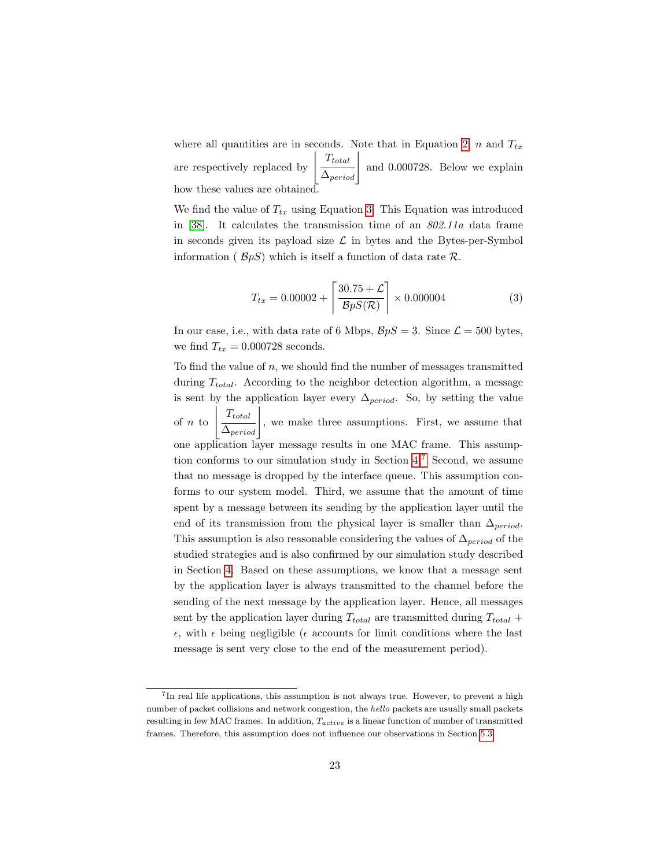where all quantities are in seconds. Note that in Equation [2,](#page-21-1) n and  $T_{tx}$ are respectively replaced by  $\frac{T_{total}}{\Delta_{period}}$  and 0.000728. Below we explain how these values are obtained.

<span id="page-22-0"></span>We find the value of  $T_{tx}$  using Equation [3.](#page-22-0) This Equation was introduced in [\[38\]](#page-41-7). It calculates the transmission time of an 802.11a data frame in seconds given its payload size  $\mathcal L$  in bytes and the Bytes-per-Symbol information ( $\mathcal{B}pS$ ) which is itself a function of data rate R.

$$
T_{tx} = 0.00002 + \left[\frac{30.75 + \mathcal{L}}{BpS(\mathcal{R})}\right] \times 0.000004 \tag{3}
$$

In our case, i.e., with data rate of 6 Mbps,  $\mathcal{B}pS = 3$ . Since  $\mathcal{L} = 500$  bytes, we find  $T_{tx} = 0.000728$  seconds.

To find the value of  $n$ , we should find the number of messages transmitted during  $T_{total}$ . According to the neighbor detection algorithm, a message is sent by the application layer every  $\Delta_{period}$ . So, by setting the value of  $\sqrt{n}$  to  $\,$  $\frac{T_{total}}{\Delta_{period}}\Big\vert$ , we make three assumptions. First, we assume that one application layer message results in one MAC frame. This assumption conforms to our simulation study in Section [4.](#page-7-0)[7](#page-0-0) Second, we assume that no message is dropped by the interface queue. This assumption conforms to our system model. Third, we assume that the amount of time spent by a message between its sending by the application layer until the end of its transmission from the physical layer is smaller than  $\Delta_{period}$ . This assumption is also reasonable considering the values of  $\Delta_{period}$  of the studied strategies and is also confirmed by our simulation study described in Section [4.](#page-7-0) Based on these assumptions, we know that a message sent by the application layer is always transmitted to the channel before the sending of the next message by the application layer. Hence, all messages sent by the application layer during  $T_{total}$  are transmitted during  $T_{total}$  +  $\epsilon$ , with  $\epsilon$  being negligible ( $\epsilon$  accounts for limit conditions where the last message is sent very close to the end of the measurement period).

<sup>7</sup> In real life applications, this assumption is not always true. However, to prevent a high number of packet collisions and network congestion, the hello packets are usually small packets resulting in few MAC frames. In addition,  $T_{active}$  is a linear function of number of transmitted frames. Therefore, this assumption does not influence our observations in Section [5.3.](#page-23-0)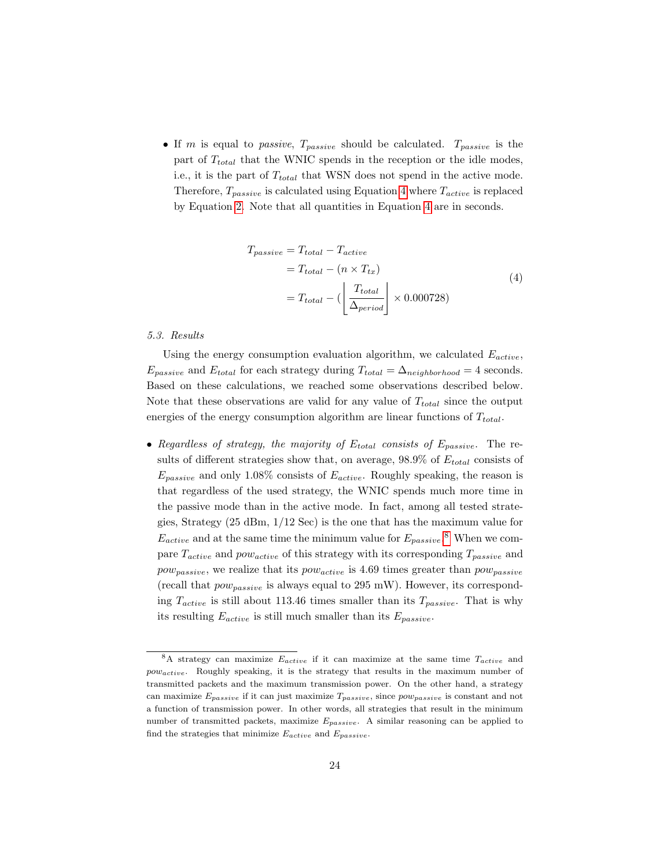<span id="page-23-1"></span>• If m is equal to passive,  $T_{passive}$  should be calculated.  $T_{passive}$  is the part of  $T_{total}$  that the WNIC spends in the reception or the idle modes, i.e., it is the part of  $T_{total}$  that WSN does not spend in the active mode. Therefore,  $T_{passive}$  is calculated using Equation [4](#page-23-1) where  $T_{active}$  is replaced by Equation [2.](#page-21-1) Note that all quantities in Equation [4](#page-23-1) are in seconds.

$$
T_{passive} = T_{total} - T_{active}
$$
  
= 
$$
T_{total} - (n \times T_{tx})
$$
  
= 
$$
T_{total} - (\left\lfloor \frac{T_{total}}{\Delta_{period}} \right\rfloor \times 0.000728)
$$
 (4)

## <span id="page-23-0"></span>5.3. Results

Using the energy consumption evaluation algorithm, we calculated  $E_{active}$ ,  $E_{passive}$  and  $E_{total}$  for each strategy during  $T_{total} = \Delta_{neighborhood} = 4$  seconds. Based on these calculations, we reached some observations described below. Note that these observations are valid for any value of  $T_{total}$  since the output energies of the energy consumption algorithm are linear functions of  $T_{total}$ .

• Regardless of strategy, the majority of  $E_{total}$  consists of  $E_{passive}$ . The results of different strategies show that, on average,  $98.9\%$  of  $E_{total}$  consists of  $E_{passive}$  and only 1.08% consists of  $E_{active}$ . Roughly speaking, the reason is that regardless of the used strategy, the WNIC spends much more time in the passive mode than in the active mode. In fact, among all tested strategies, Strategy (25 dBm, 1/12 Sec) is the one that has the maximum value for  $E_{active}$  and at the same time the minimum value for  $E_{passive}$ .<sup>[8](#page-0-0)</sup> When we compare  $T_{active}$  and  $pow_{active}$  of this strategy with its corresponding  $T_{passive}$  and  $pow_{passive}$ , we realize that its  $pow_{active}$  is 4.69 times greater than  $pow_{passive}$ (recall that  $pow_{passive}$  is always equal to 295 mW). However, its corresponding  $T_{active}$  is still about 113.46 times smaller than its  $T_{passive}$ . That is why its resulting  $E_{active}$  is still much smaller than its  $E_{passive}$ .

<sup>&</sup>lt;sup>8</sup>A strategy can maximize  $E_{active}$  if it can maximize at the same time  $T_{active}$  and powactive. Roughly speaking, it is the strategy that results in the maximum number of transmitted packets and the maximum transmission power. On the other hand, a strategy can maximize  $E_{passive}$  if it can just maximize  $T_{passive}$ , since  $pow_{passive}$  is constant and not a function of transmission power. In other words, all strategies that result in the minimum number of transmitted packets, maximize  $E_{passive}$ . A similar reasoning can be applied to find the strategies that minimize  $E_{active}$  and  $E_{passive}$ .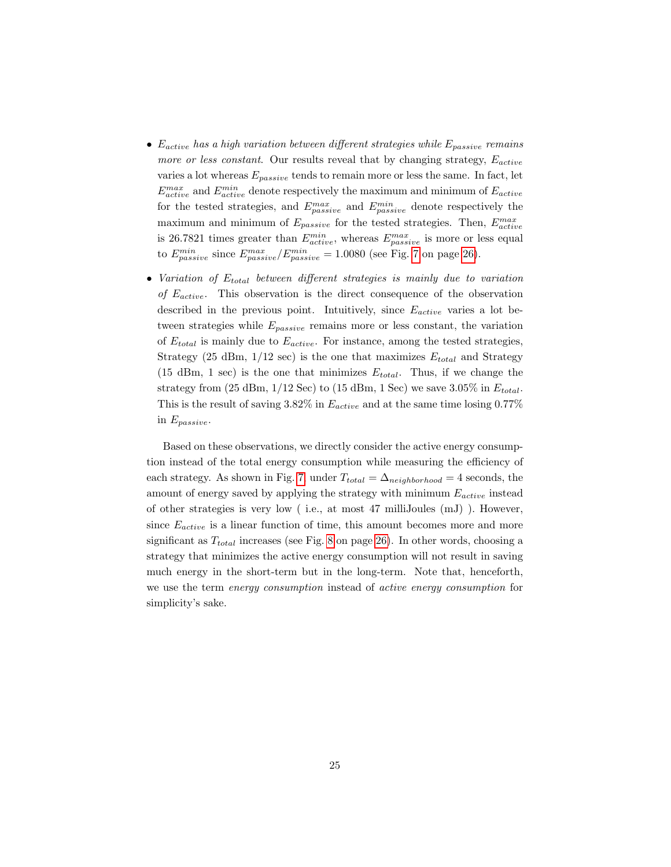- $E_{active}$  has a high variation between different strategies while  $E_{passive}$  remains more or less constant. Our results reveal that by changing strategy,  $E_{active}$ varies a lot whereas  $E_{passive}$  tends to remain more or less the same. In fact, let  $E_{active}^{max}$  and  $E_{active}^{min}$  denote respectively the maximum and minimum of  $E_{active}$ for the tested strategies, and  $E_{passive}^{max}$  and  $E_{passive}^{min}$  denote respectively the maximum and minimum of  $E_{passive}$  for the tested strategies. Then,  $E_{active}^{max}$ is 26.7821 times greater than  $E_{active}^{min}$ , whereas  $E_{passive}^{max}$  is more or less equal to  $E_{passive}^{min}$  since  $E_{passive}^{max}/E_{passive}^{min} = 1.0080$  (see Fig. [7](#page-25-0) on page [26\)](#page-25-0).
- Variation of  $E_{total}$  between different strategies is mainly due to variation of  $E_{active}$ . This observation is the direct consequence of the observation described in the previous point. Intuitively, since  $E_{active}$  varies a lot between strategies while  $E_{passive}$  remains more or less constant, the variation of  $E_{total}$  is mainly due to  $E_{active}$ . For instance, among the tested strategies, Strategy (25 dBm,  $1/12$  sec) is the one that maximizes  $E_{total}$  and Strategy (15 dBm, 1 sec) is the one that minimizes  $E_{total}$ . Thus, if we change the strategy from (25 dBm,  $1/12$  Sec) to (15 dBm, 1 Sec) we save 3.05% in  $E_{total}$ . This is the result of saving 3.82% in  $E_{active}$  and at the same time losing 0.77% in  $E_{passive}$ .

Based on these observations, we directly consider the active energy consumption instead of the total energy consumption while measuring the efficiency of each strategy. As shown in Fig. [7,](#page-25-0) under  $T_{total} = \Delta_{neighborhood} = 4$  seconds, the amount of energy saved by applying the strategy with minimum  $E_{active}$  instead of other strategies is very low ( i.e., at most 47 milliJoules (mJ) ). However, since  $E_{active}$  is a linear function of time, this amount becomes more and more significant as  $T_{total}$  increases (see Fig. [8](#page-25-0) on page [26\)](#page-25-0). In other words, choosing a strategy that minimizes the active energy consumption will not result in saving much energy in the short-term but in the long-term. Note that, henceforth, we use the term energy consumption instead of active energy consumption for simplicity's sake.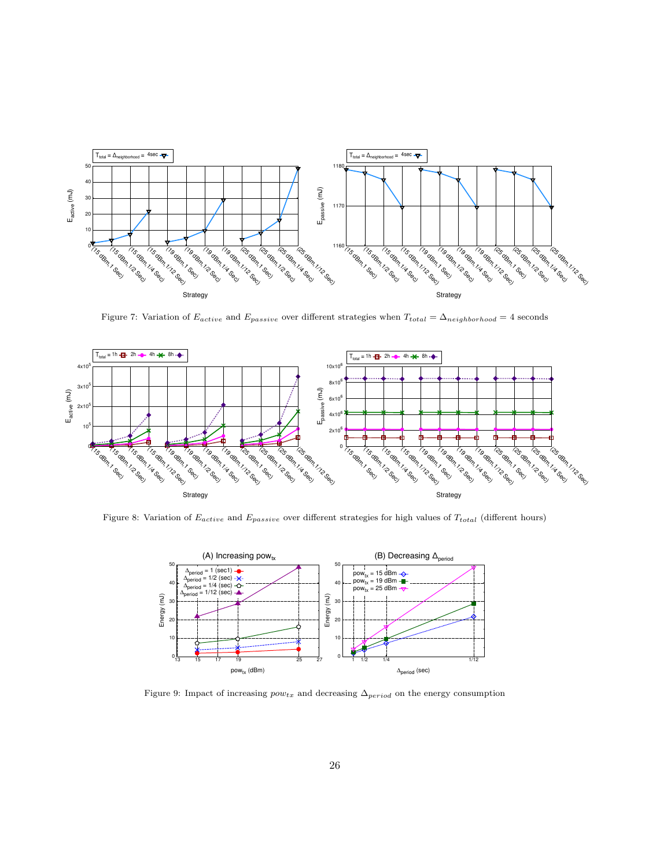<span id="page-25-0"></span>

Figure 7: Variation of  $E_{active}$  and  $E_{passive}$  over different strategies when  $T_{total} = \Delta_{neighborhood} = 4$  seconds



Figure 8: Variation of  $E_{active}$  and  $E_{passive}$  over different strategies for high values of  $T_{total}$  (different hours)



Figure 9: Impact of increasing  $pow_{tx}$  and decreasing  $\Delta_{period}$  on the energy consumption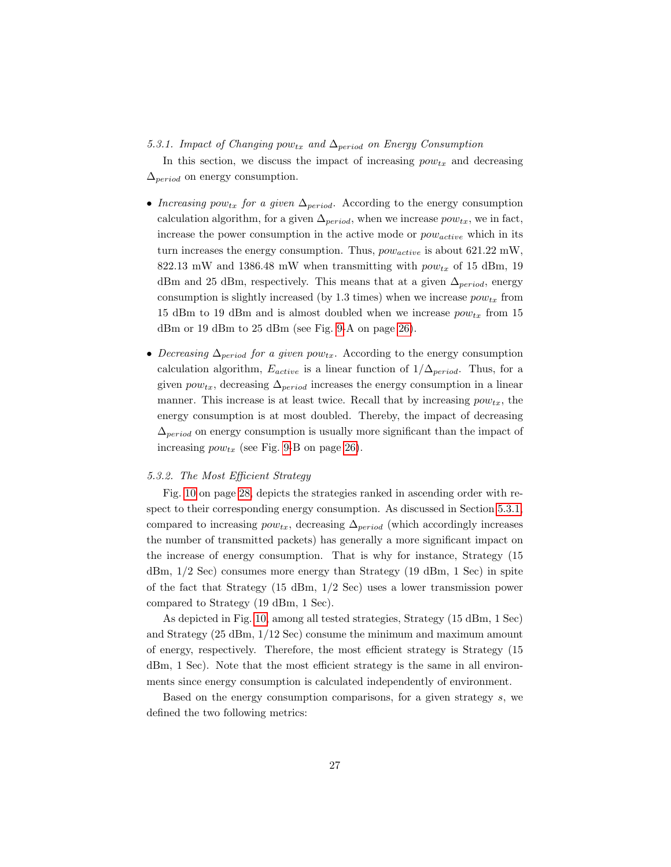<span id="page-26-0"></span>5.3.1. Impact of Changing pow<sub>tx</sub> and  $\Delta_{period}$  on Energy Consumption

In this section, we discuss the impact of increasing  $pow_{tx}$  and decreasing  $\Delta_{period}$  on energy consumption.

- Increasing pow<sub>tx</sub> for a given  $\Delta_{period}$ . According to the energy consumption calculation algorithm, for a given  $\Delta_{period}$ , when we increase  $pow_{tx}$ , we in fact, increase the power consumption in the active mode or  $pow_{active}$  which in its turn increases the energy consumption. Thus,  $pow_{active}$  is about 621.22 mW, 822.13 mW and 1386.48 mW when transmitting with  $pow_{tx}$  of 15 dBm, 19 dBm and 25 dBm, respectively. This means that at a given  $\Delta_{period}$ , energy consumption is slightly increased (by 1.3 times) when we increase  $pow_{tx}$  from 15 dBm to 19 dBm and is almost doubled when we increase  $pow_{tx}$  from 15 dBm or 19 dBm to 25 dBm (see Fig. [9-](#page-25-0)A on page [26\)](#page-25-0).
- Decreasing  $\Delta_{period}$  for a given pow<sub>tx</sub>. According to the energy consumption calculation algorithm,  $E_{active}$  is a linear function of  $1/\Delta_{period}$ . Thus, for a given  $pow_{tx}$ , decreasing  $\Delta_{period}$  increases the energy consumption in a linear manner. This increase is at least twice. Recall that by increasing  $pow_{tx}$ , the energy consumption is at most doubled. Thereby, the impact of decreasing  $\Delta_{period}$  on energy consumption is usually more significant than the impact of increasing  $pow_{tx}$  (see Fig. [9-](#page-25-0)B on page [26\)](#page-25-0).

#### 5.3.2. The Most Efficient Strategy

Fig. [10](#page-27-1) on page [28,](#page-27-1) depicts the strategies ranked in ascending order with respect to their corresponding energy consumption. As discussed in Section [5.3.1,](#page-26-0) compared to increasing  $pow_{tx}$ , decreasing  $\Delta_{period}$  (which accordingly increases the number of transmitted packets) has generally a more significant impact on the increase of energy consumption. That is why for instance, Strategy (15 dBm, 1/2 Sec) consumes more energy than Strategy (19 dBm, 1 Sec) in spite of the fact that Strategy (15 dBm, 1/2 Sec) uses a lower transmission power compared to Strategy (19 dBm, 1 Sec).

As depicted in Fig. [10,](#page-27-1) among all tested strategies, Strategy (15 dBm, 1 Sec) and Strategy (25 dBm, 1/12 Sec) consume the minimum and maximum amount of energy, respectively. Therefore, the most efficient strategy is Strategy (15 dBm, 1 Sec). Note that the most efficient strategy is the same in all environments since energy consumption is calculated independently of environment.

Based on the energy consumption comparisons, for a given strategy s, we defined the two following metrics: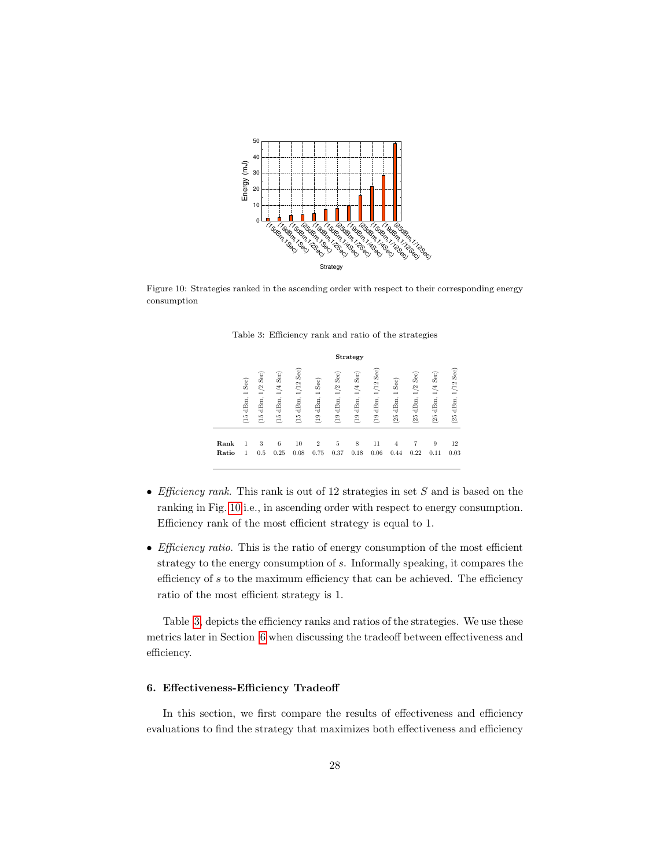<span id="page-27-1"></span>

<span id="page-27-2"></span>Figure 10: Strategies ranked in the ascending order with respect to their corresponding energy consumption

|               | Strategy                             |                                                                            |                                      |                                                     |                                                           |                                                         |                                        |                                   |                                                  |                             |                               |                                         |
|---------------|--------------------------------------|----------------------------------------------------------------------------|--------------------------------------|-----------------------------------------------------|-----------------------------------------------------------|---------------------------------------------------------|----------------------------------------|-----------------------------------|--------------------------------------------------|-----------------------------|-------------------------------|-----------------------------------------|
|               | Sec)<br>$\overline{ }$<br>$(15$ dBm, | Sec)<br>$\mathfrak{L}$<br>$\overline{ }$<br>$d\mathrm{Bm},$<br>$\tilde{a}$ | $1/4$ Sec)<br>dBm,<br>$\frac{5}{10}$ | $\mathrm{Sec})$<br>1/12<br>$\mathrm{dBm},$<br>$\Xi$ | Sec)<br>$\overline{\phantom{0}}$<br>dBm,<br>$\frac{1}{2}$ | $\mathrm{Sec})$<br>1/2<br>$d\mathrm{Bm},$<br>$\ddot{e}$ | $1/4$ Sec $)$<br>dBm,<br>$\frac{1}{2}$ | Sec)<br>1/12<br>dBm,<br>$\approx$ | Sec)<br>$\overline{\phantom{0}}$<br>dBm,<br>(25) | Sec)<br>1/2<br>dBm,<br>(25) | $1/4$ Sec $)$<br>dBm,<br>(25) | $\mathrm{Sec})$<br>1/12<br>dBm,<br>(25) |
| Rank<br>Ratio | 1<br>1                               | 3<br>0.5                                                                   | 6<br>0.25                            | 10<br>0.08                                          | $\overline{2}$<br>0.75                                    | 5<br>0.37                                               | 8<br>0.18                              | 11<br>0.06                        | 4<br>0.44                                        | 0.22                        | 9<br>0.11                     | 12<br>0.03                              |
|               |                                      |                                                                            |                                      |                                                     |                                                           |                                                         |                                        |                                   |                                                  |                             |                               |                                         |

Table 3: Efficiency rank and ratio of the strategies

- Efficiency rank. This rank is out of 12 strategies in set  $S$  and is based on the ranking in Fig. [10](#page-27-1) i.e., in ascending order with respect to energy consumption. Efficiency rank of the most efficient strategy is equal to 1.
- *Efficiency ratio*. This is the ratio of energy consumption of the most efficient strategy to the energy consumption of s. Informally speaking, it compares the efficiency of  $s$  to the maximum efficiency that can be achieved. The efficiency ratio of the most efficient strategy is 1.

Table [3,](#page-27-2) depicts the efficiency ranks and ratios of the strategies. We use these metrics later in Section [6](#page-27-0) when discussing the tradeoff between effectiveness and efficiency.

# <span id="page-27-0"></span>6. Effectiveness-Efficiency Tradeoff

In this section, we first compare the results of effectiveness and efficiency evaluations to find the strategy that maximizes both effectiveness and efficiency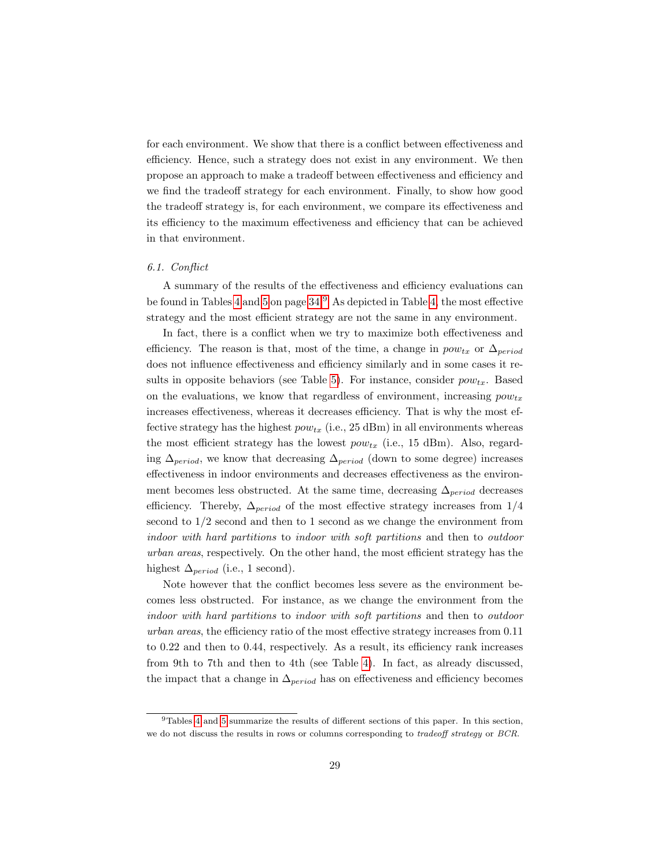for each environment. We show that there is a conflict between effectiveness and efficiency. Hence, such a strategy does not exist in any environment. We then propose an approach to make a tradeoff between effectiveness and efficiency and we find the tradeoff strategy for each environment. Finally, to show how good the tradeoff strategy is, for each environment, we compare its effectiveness and its efficiency to the maximum effectiveness and efficiency that can be achieved in that environment.

#### <span id="page-28-0"></span>6.1. Conflict

A summary of the results of the effectiveness and efficiency evaluations can be found in Tables [4](#page-33-0) and [5](#page-33-0) on page [34.](#page-33-0)[9](#page-0-0) As depicted in Table [4,](#page-33-0) the most effective strategy and the most efficient strategy are not the same in any environment.

In fact, there is a conflict when we try to maximize both effectiveness and efficiency. The reason is that, most of the time, a change in  $pow_{tx}$  or  $\Delta_{period}$ does not influence effectiveness and efficiency similarly and in some cases it re-sults in opposite behaviors (see Table [5\)](#page-33-0). For instance, consider  $pow_{tx}$ . Based on the evaluations, we know that regardless of environment, increasing  $pow_{tx}$ increases effectiveness, whereas it decreases efficiency. That is why the most effective strategy has the highest  $pow_{tx}$  (i.e., 25 dBm) in all environments whereas the most efficient strategy has the lowest  $pow_{tx}$  (i.e., 15 dBm). Also, regarding  $\Delta_{period}$ , we know that decreasing  $\Delta_{period}$  (down to some degree) increases effectiveness in indoor environments and decreases effectiveness as the environment becomes less obstructed. At the same time, decreasing  $\Delta_{period}$  decreases efficiency. Thereby,  $\Delta_{period}$  of the most effective strategy increases from 1/4 second to  $1/2$  second and then to 1 second as we change the environment from indoor with hard partitions to indoor with soft partitions and then to outdoor urban areas, respectively. On the other hand, the most efficient strategy has the highest  $\Delta_{period}$  (i.e., 1 second).

Note however that the conflict becomes less severe as the environment becomes less obstructed. For instance, as we change the environment from the indoor with hard partitions to indoor with soft partitions and then to outdoor urban areas, the efficiency ratio of the most effective strategy increases from 0.11 to 0.22 and then to 0.44, respectively. As a result, its efficiency rank increases from 9th to 7th and then to 4th (see Table [4\)](#page-33-0). In fact, as already discussed, the impact that a change in  $\Delta_{period}$  has on effectiveness and efficiency becomes

<sup>9</sup>Tables [4](#page-33-0) and [5](#page-33-0) summarize the results of different sections of this paper. In this section, we do not discuss the results in rows or columns corresponding to tradeoff strategy or BCR.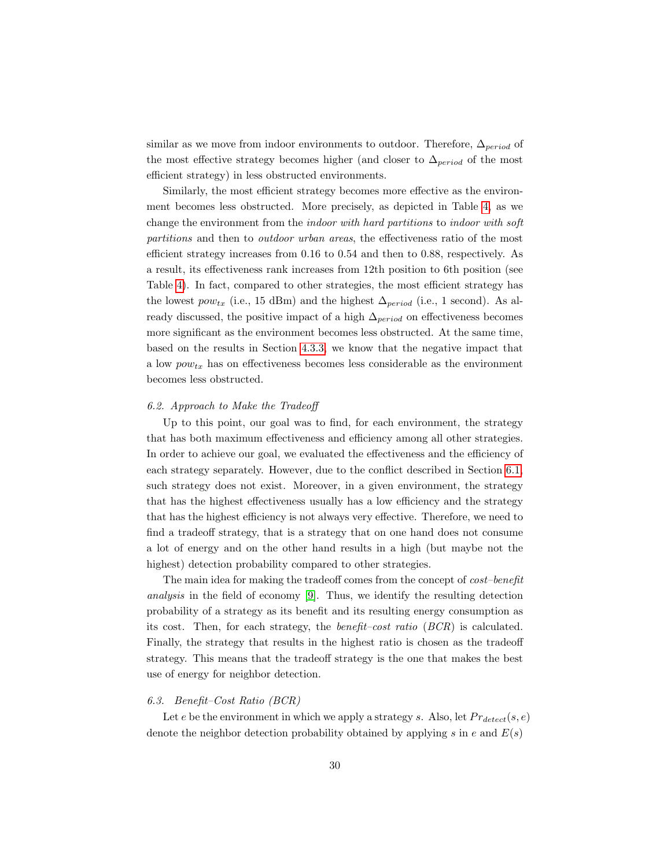similar as we move from indoor environments to outdoor. Therefore,  $\Delta_{period}$  of the most effective strategy becomes higher (and closer to  $\Delta_{period}$  of the most efficient strategy) in less obstructed environments.

Similarly, the most efficient strategy becomes more effective as the environment becomes less obstructed. More precisely, as depicted in Table [4,](#page-33-0) as we change the environment from the indoor with hard partitions to indoor with soft partitions and then to outdoor urban areas, the effectiveness ratio of the most efficient strategy increases from 0.16 to 0.54 and then to 0.88, respectively. As a result, its effectiveness rank increases from 12th position to 6th position (see Table [4\)](#page-33-0). In fact, compared to other strategies, the most efficient strategy has the lowest  $pow_{tx}$  (i.e., 15 dBm) and the highest  $\Delta_{period}$  (i.e., 1 second). As already discussed, the positive impact of a high  $\Delta_{period}$  on effectiveness becomes more significant as the environment becomes less obstructed. At the same time, based on the results in Section [4.3.3,](#page-15-0) we know that the negative impact that a low  $pow_{tx}$  has on effectiveness becomes less considerable as the environment becomes less obstructed.

#### 6.2. Approach to Make the Tradeoff

Up to this point, our goal was to find, for each environment, the strategy that has both maximum effectiveness and efficiency among all other strategies. In order to achieve our goal, we evaluated the effectiveness and the efficiency of each strategy separately. However, due to the conflict described in Section [6.1,](#page-28-0) such strategy does not exist. Moreover, in a given environment, the strategy that has the highest effectiveness usually has a low efficiency and the strategy that has the highest efficiency is not always very effective. Therefore, we need to find a tradeoff strategy, that is a strategy that on one hand does not consume a lot of energy and on the other hand results in a high (but maybe not the highest) detection probability compared to other strategies.

The main idea for making the tradeoff comes from the concept of *cost–benefit* analysis in the field of economy [\[9\]](#page-39-11). Thus, we identify the resulting detection probability of a strategy as its benefit and its resulting energy consumption as its cost. Then, for each strategy, the benefit–cost ratio (BCR) is calculated. Finally, the strategy that results in the highest ratio is chosen as the tradeoff strategy. This means that the tradeoff strategy is the one that makes the best use of energy for neighbor detection.

## 6.3. Benefit–Cost Ratio (BCR)

Let e be the environment in which we apply a strategy s. Also, let  $Pr_{detect}(s, e)$ denote the neighbor detection probability obtained by applying s in e and  $E(s)$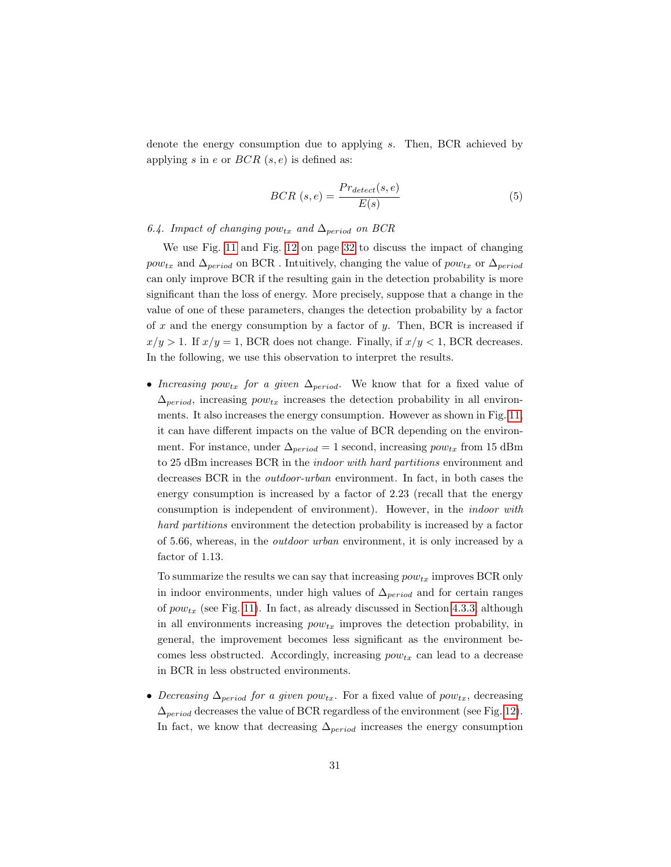denote the energy consumption due to applying s. Then, BCR achieved by applying s in e or  $BCR(s, e)$  is defined as:

$$
BCR(s, e) = \frac{Pr_{detect}(s, e)}{E(s)}
$$
\n<sup>(5)</sup>

## <span id="page-30-0"></span>6.4. Impact of changing pow<sub>tx</sub> and  $\Delta_{period}$  on BCR

We use Fig. [11](#page-31-0) and Fig. [12](#page-31-0) on page [32](#page-31-0) to discuss the impact of changing  $pow_{tx}$  and  $\Delta_{period}$  on BCR . Intuitively, changing the value of  $pow_{tx}$  or  $\Delta_{period}$ can only improve BCR if the resulting gain in the detection probability is more significant than the loss of energy. More precisely, suppose that a change in the value of one of these parameters, changes the detection probability by a factor of x and the energy consumption by a factor of y. Then, BCR is increased if  $x/y > 1$ . If  $x/y = 1$ , BCR does not change. Finally, if  $x/y < 1$ , BCR decreases. In the following, we use this observation to interpret the results.

• Increasing pow<sub>tx</sub> for a given  $\Delta_{period}$ . We know that for a fixed value of  $\Delta_{period}$ , increasing  $pow_{tx}$  increases the detection probability in all environments. It also increases the energy consumption. However as shown in Fig. [11,](#page-31-0) it can have different impacts on the value of BCR depending on the environment. For instance, under  $\Delta_{period} = 1$  second, increasing  $pow_{tx}$  from 15 dBm to 25 dBm increases BCR in the indoor with hard partitions environment and decreases BCR in the outdoor-urban environment. In fact, in both cases the energy consumption is increased by a factor of 2.23 (recall that the energy consumption is independent of environment). However, in the indoor with hard partitions environment the detection probability is increased by a factor of 5.66, whereas, in the outdoor urban environment, it is only increased by a factor of 1.13.

To summarize the results we can say that increasing  $pow_{tx}$  improves BCR only in indoor environments, under high values of  $\Delta_{period}$  and for certain ranges of  $pow_{tx}$  (see Fig. [11\)](#page-31-0). In fact, as already discussed in Section [4.3.3,](#page-15-0) although in all environments increasing  $pow_{tx}$  improves the detection probability, in general, the improvement becomes less significant as the environment becomes less obstructed. Accordingly, increasing  $pow_{tx}$  can lead to a decrease in BCR in less obstructed environments.

• Decreasing  $\Delta_{period}$  for a given pow<sub>tx</sub>. For a fixed value of pow<sub>tx</sub>, decreasing  $\Delta_{period}$  decreases the value of BCR regardless of the environment (see Fig. [12\)](#page-31-0). In fact, we know that decreasing  $\Delta_{period}$  increases the energy consumption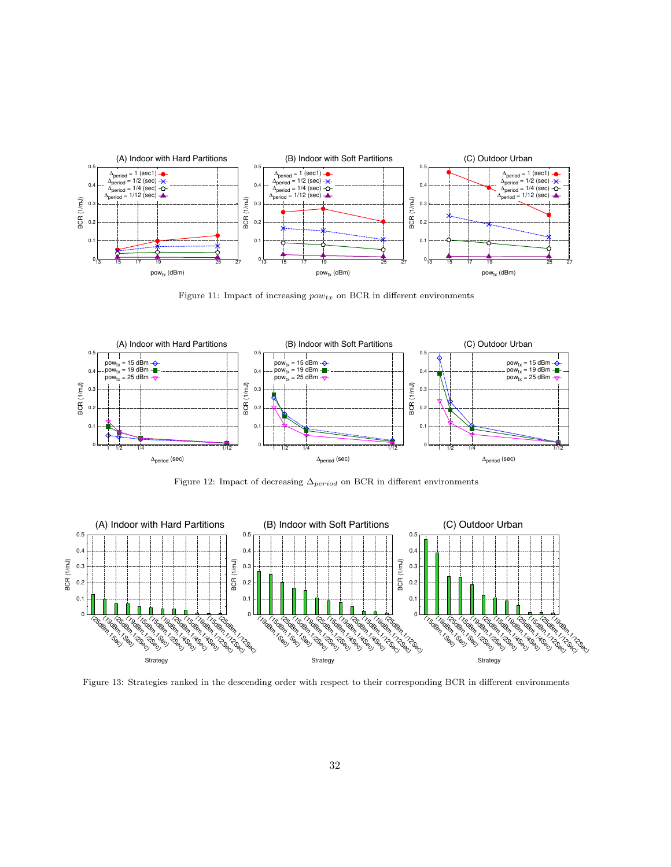<span id="page-31-0"></span>

Figure 11: Impact of increasing  $pow_{tx}$  on BCR in different environments



Figure 12: Impact of decreasing  $\Delta_{period}$  on BCR in different environments



Figure 13: Strategies ranked in the descending order with respect to their corresponding BCR in different environments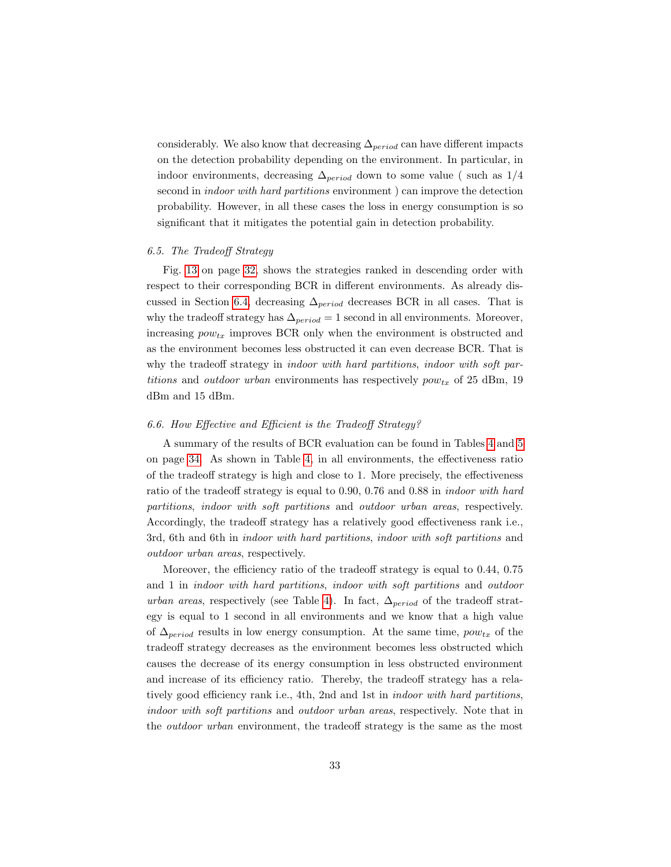considerably. We also know that decreasing  $\Delta_{period}$  can have different impacts on the detection probability depending on the environment. In particular, in indoor environments, decreasing  $\Delta_{period}$  down to some value ( such as 1/4 second in indoor with hard partitions environment ) can improve the detection probability. However, in all these cases the loss in energy consumption is so significant that it mitigates the potential gain in detection probability.

#### 6.5. The Tradeoff Strategy

Fig. [13](#page-31-0) on page [32,](#page-31-0) shows the strategies ranked in descending order with respect to their corresponding BCR in different environments. As already dis-cussed in Section [6.4,](#page-30-0) decreasing  $\Delta_{period}$  decreases BCR in all cases. That is why the tradeoff strategy has  $\Delta_{period} = 1$  second in all environments. Moreover, increasing  $pow_{tx}$  improves BCR only when the environment is obstructed and as the environment becomes less obstructed it can even decrease BCR. That is why the tradeoff strategy in *indoor with hard partitions*, *indoor with soft par*titions and *outdoor urban* environments has respectively  $pow_{tx}$  of 25 dBm, 19 dBm and 15 dBm.

#### 6.6. How Effective and Efficient is the Tradeoff Strategy?

A summary of the results of BCR evaluation can be found in Tables [4](#page-33-0) and [5](#page-33-0) on page [34.](#page-33-0) As shown in Table [4,](#page-33-0) in all environments, the effectiveness ratio of the tradeoff strategy is high and close to 1. More precisely, the effectiveness ratio of the tradeoff strategy is equal to 0.90, 0.76 and 0.88 in indoor with hard partitions, indoor with soft partitions and outdoor urban areas, respectively. Accordingly, the tradeoff strategy has a relatively good effectiveness rank i.e., 3rd, 6th and 6th in indoor with hard partitions, indoor with soft partitions and outdoor urban areas, respectively.

Moreover, the efficiency ratio of the tradeoff strategy is equal to 0.44, 0.75 and 1 in indoor with hard partitions, indoor with soft partitions and outdoor urban areas, respectively (see Table [4\)](#page-33-0). In fact,  $\Delta_{period}$  of the tradeoff strategy is equal to 1 second in all environments and we know that a high value of  $\Delta_{period}$  results in low energy consumption. At the same time,  $pow_{tx}$  of the tradeoff strategy decreases as the environment becomes less obstructed which causes the decrease of its energy consumption in less obstructed environment and increase of its efficiency ratio. Thereby, the tradeoff strategy has a relatively good efficiency rank i.e., 4th, 2nd and 1st in indoor with hard partitions, indoor with soft partitions and outdoor urban areas, respectively. Note that in the outdoor urban environment, the tradeoff strategy is the same as the most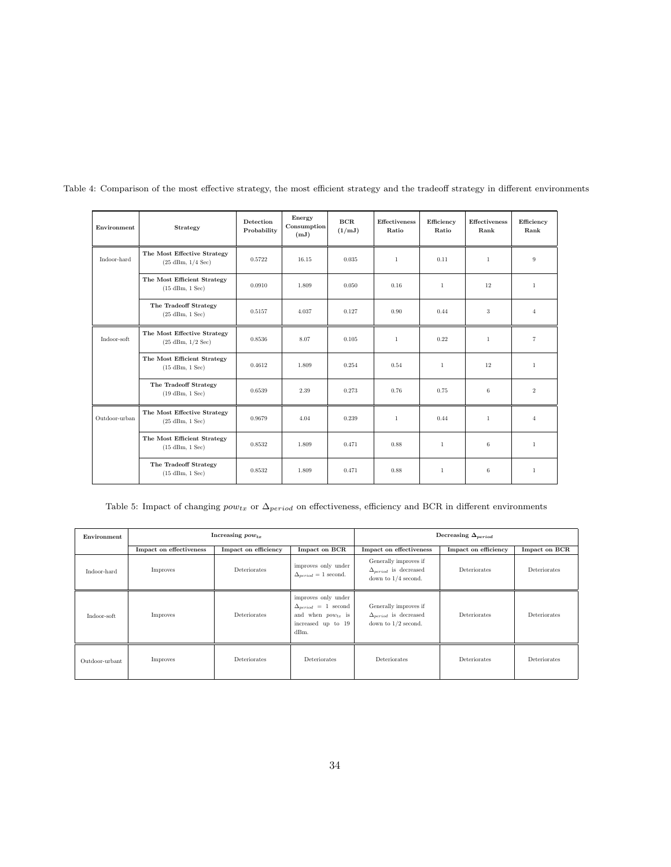<span id="page-33-0"></span>

| Environment   | Strategy                                                           | Detection<br>Probability | Energy<br>Consumption<br>(mJ) | BCR<br>(1/mJ) | <b>Effectiveness</b><br>Ratio | Efficiency<br>Ratio | <b>Effectiveness</b><br>Rank | Efficiency<br><b>Rank</b> |
|---------------|--------------------------------------------------------------------|--------------------------|-------------------------------|---------------|-------------------------------|---------------------|------------------------------|---------------------------|
| Indoor-hard   | The Most Effective Strategy<br>$(25 \text{ dBm}, 1/4 \text{ Sec})$ | 0.5722                   | 16.15                         | 0.035         | $\mathbf{1}$                  | 0.11                | $\mathbf{1}$                 | 9                         |
|               | The Most Efficient Strategy<br>$(15 \text{ dBm}, 1 \text{ Sec})$   | 0.0910                   | 1.809                         | 0.050         | 0.16                          | $\mathbf{1}$        | 12                           | $\mathbf{1}$              |
|               | The Tradeoff Strategy<br>$(25 \text{ dBm}, 1 \text{ Sec})$         | 0.5157                   | 4.037                         | 0.127         | 0.90                          | 0.44                | 3                            | $\overline{4}$            |
| Indoor-soft   | The Most Effective Strategy<br>$(25 \text{ dBm}, 1/2 \text{ Sec})$ | 0.8536                   | 8.07                          | 0.105         | $\mathbf{1}$                  | 0.22                | $\overline{1}$               | $\overline{7}$            |
|               | The Most Efficient Strategy<br>$(15 \text{ dBm}, 1 \text{ Sec})$   | 0.4612                   | 1.809                         | 0.254         | 0.54                          | $\mathbf{1}$        | 12                           | $\mathbf{1}$              |
|               | The Tradeoff Strategy<br>$(19$ dBm, $1$ Sec)                       | 0.6539                   | 2.39                          | 0.273         | 0.76                          | 0.75                | 6                            | $\overline{2}$            |
| Outdoor-urban | The Most Effective Strategy<br>$(25 \text{ dBm}, 1 \text{ Sec})$   | 0.9679                   | 4.04                          | 0.239         | $\mathbf{1}$                  | 0.44                | $\overline{1}$               | $\overline{4}$            |
|               | The Most Efficient Strategy<br>$(15 \text{ dBm}, 1 \text{ Sec})$   | 0.8532                   | 1.809                         | 0.471         | 0.88                          | $\mathbf{1}$        | 6                            | $\mathbf{1}$              |
|               | The Tradeoff Strategy<br>$(15 \text{ dBm}, 1 \text{ Sec})$         | 0.8532                   | 1.809                         | 0.471         | 0.88                          | $\mathbf{1}$        | 6                            | $\mathbf{1}$              |

Table 4: Comparison of the most effective strategy, the most efficient strategy and the tradeoff strategy in different environments

Table 5: Impact of changing  $pow_{tx}$  or  $\Delta_{period}$  on effectiveness, efficiency and BCR in different environments

| Environment    |                                                 | Increasing pow <sub>tx</sub> |                                                                                                             | Decreasing $\Delta_{period}$                                                     |                      |               |  |
|----------------|-------------------------------------------------|------------------------------|-------------------------------------------------------------------------------------------------------------|----------------------------------------------------------------------------------|----------------------|---------------|--|
|                | Impact on effectiveness<br>Impact on efficiency |                              | Impact on BCR                                                                                               | Impact on effectiveness                                                          | Impact on efficiency | Impact on BCR |  |
| Indoor-hard    | Improves                                        | Deteriorates                 | improves only under<br>$\Delta_{period} = 1$ second.                                                        | Generally improves if<br>$\Delta_{period}$ is decreased<br>down to $1/4$ second. | Deteriorates         | Deteriorates  |  |
| Indoor-soft    | Improves                                        | Deteriorates                 | improves only under<br>$\Delta_{period}$ = 1 second<br>and when $pow_{tx}$ is<br>increased up to 19<br>dBm. | Generally improves if<br>$\Delta_{period}$ is decreased<br>down to $1/2$ second. | Deteriorates         | Deteriorates  |  |
| Outdoor-urbant | Improves                                        | Deteriorates                 | Deteriorates                                                                                                | Deteriorates                                                                     | Deteriorates         | Deteriorates  |  |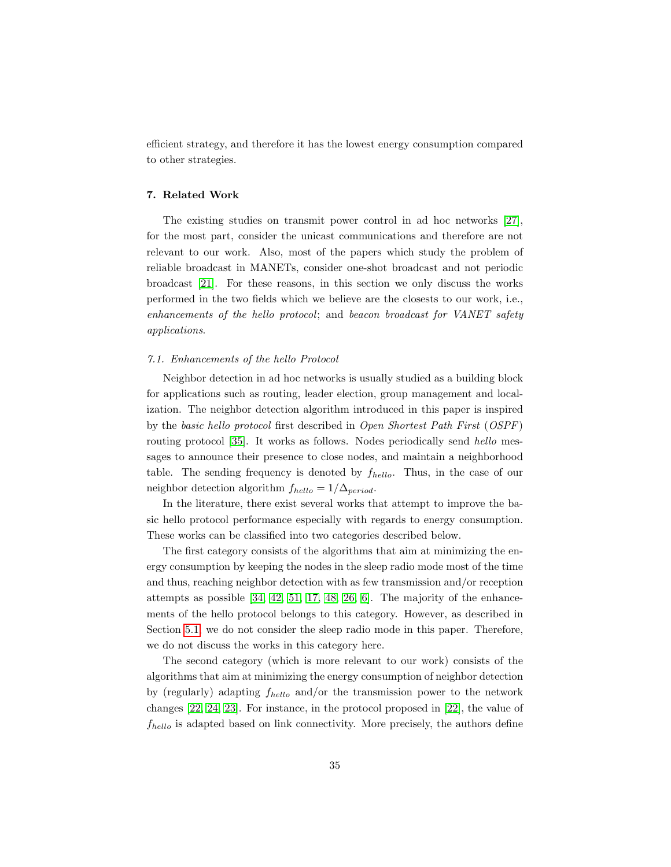efficient strategy, and therefore it has the lowest energy consumption compared to other strategies.

#### <span id="page-34-0"></span>7. Related Work

The existing studies on transmit power control in ad hoc networks [\[27\]](#page-40-5), for the most part, consider the unicast communications and therefore are not relevant to our work. Also, most of the papers which study the problem of reliable broadcast in MANETs, consider one-shot broadcast and not periodic broadcast [\[21\]](#page-40-6). For these reasons, in this section we only discuss the works performed in the two fields which we believe are the closests to our work, i.e., enhancements of the hello protocol; and beacon broadcast for VANET safety applications.

#### 7.1. Enhancements of the hello Protocol

Neighbor detection in ad hoc networks is usually studied as a building block for applications such as routing, leader election, group management and localization. The neighbor detection algorithm introduced in this paper is inspired by the basic hello protocol first described in Open Shortest Path First (OSPF) routing protocol [\[35\]](#page-41-9). It works as follows. Nodes periodically send hello messages to announce their presence to close nodes, and maintain a neighborhood table. The sending frequency is denoted by  $f_{hello}$ . Thus, in the case of our neighbor detection algorithm  $f_{hello} = 1/\Delta_{period}$ .

In the literature, there exist several works that attempt to improve the basic hello protocol performance especially with regards to energy consumption. These works can be classified into two categories described below.

The first category consists of the algorithms that aim at minimizing the energy consumption by keeping the nodes in the sleep radio mode most of the time and thus, reaching neighbor detection with as few transmission and/or reception attempts as possible [\[34,](#page-41-10) [42,](#page-41-11) [51,](#page-42-4) [17,](#page-39-12) [48,](#page-42-5) [26,](#page-40-7) [6\]](#page-38-5). The majority of the enhancements of the hello protocol belongs to this category. However, as described in Section [5.1,](#page-18-1) we do not consider the sleep radio mode in this paper. Therefore, we do not discuss the works in this category here.

The second category (which is more relevant to our work) consists of the algorithms that aim at minimizing the energy consumption of neighbor detection by (regularly) adapting  $f_{hello}$  and/or the transmission power to the network changes [\[22,](#page-40-8) [24,](#page-40-9) [23\]](#page-40-10). For instance, in the protocol proposed in [\[22\]](#page-40-8), the value of  $f_{hello}$  is adapted based on link connectivity. More precisely, the authors define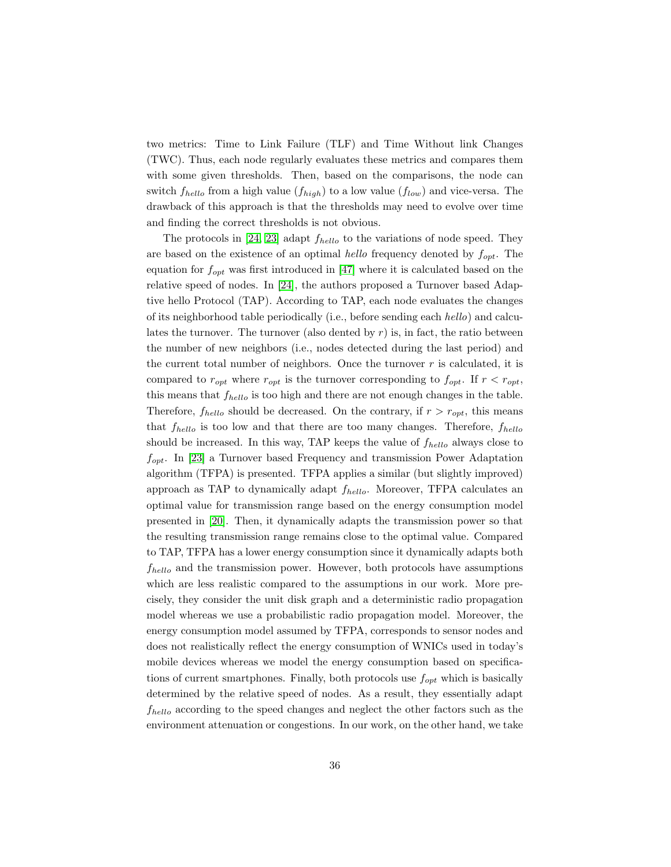two metrics: Time to Link Failure (TLF) and Time Without link Changes (TWC). Thus, each node regularly evaluates these metrics and compares them with some given thresholds. Then, based on the comparisons, the node can switch  $f_{hello}$  from a high value  $(f_{high})$  to a low value  $(f_{low})$  and vice-versa. The drawback of this approach is that the thresholds may need to evolve over time and finding the correct thresholds is not obvious.

The protocols in [\[24,](#page-40-9) [23\]](#page-40-10) adapt  $f_{hello}$  to the variations of node speed. They are based on the existence of an optimal hello frequency denoted by  $f_{opt}$ . The equation for  $f_{opt}$  was first introduced in [\[47\]](#page-42-6) where it is calculated based on the relative speed of nodes. In [\[24\]](#page-40-9), the authors proposed a Turnover based Adaptive hello Protocol (TAP). According to TAP, each node evaluates the changes of its neighborhood table periodically (i.e., before sending each hello) and calculates the turnover. The turnover (also dented by  $r$ ) is, in fact, the ratio between the number of new neighbors (i.e., nodes detected during the last period) and the current total number of neighbors. Once the turnover  $r$  is calculated, it is compared to  $r_{opt}$  where  $r_{opt}$  is the turnover corresponding to  $f_{opt}$ . If  $r < r_{opt}$ , this means that  $f_{hello}$  is too high and there are not enough changes in the table. Therefore,  $f_{hello}$  should be decreased. On the contrary, if  $r > r_{opt}$ , this means that  $f_{hello}$  is too low and that there are too many changes. Therefore,  $f_{hello}$ should be increased. In this way, TAP keeps the value of  $f_{hello}$  always close to  $f_{opt}$ . In [\[23\]](#page-40-10) a Turnover based Frequency and transmission Power Adaptation algorithm (TFPA) is presented. TFPA applies a similar (but slightly improved) approach as TAP to dynamically adapt  $f_{hello}$ . Moreover, TFPA calculates an optimal value for transmission range based on the energy consumption model presented in [\[20\]](#page-40-11). Then, it dynamically adapts the transmission power so that the resulting transmission range remains close to the optimal value. Compared to TAP, TFPA has a lower energy consumption since it dynamically adapts both  $f_{hello}$  and the transmission power. However, both protocols have assumptions which are less realistic compared to the assumptions in our work. More precisely, they consider the unit disk graph and a deterministic radio propagation model whereas we use a probabilistic radio propagation model. Moreover, the energy consumption model assumed by TFPA, corresponds to sensor nodes and does not realistically reflect the energy consumption of WNICs used in today's mobile devices whereas we model the energy consumption based on specifications of current smartphones. Finally, both protocols use  $f_{opt}$  which is basically determined by the relative speed of nodes. As a result, they essentially adapt  $f_{hello}$  according to the speed changes and neglect the other factors such as the environment attenuation or congestions. In our work, on the other hand, we take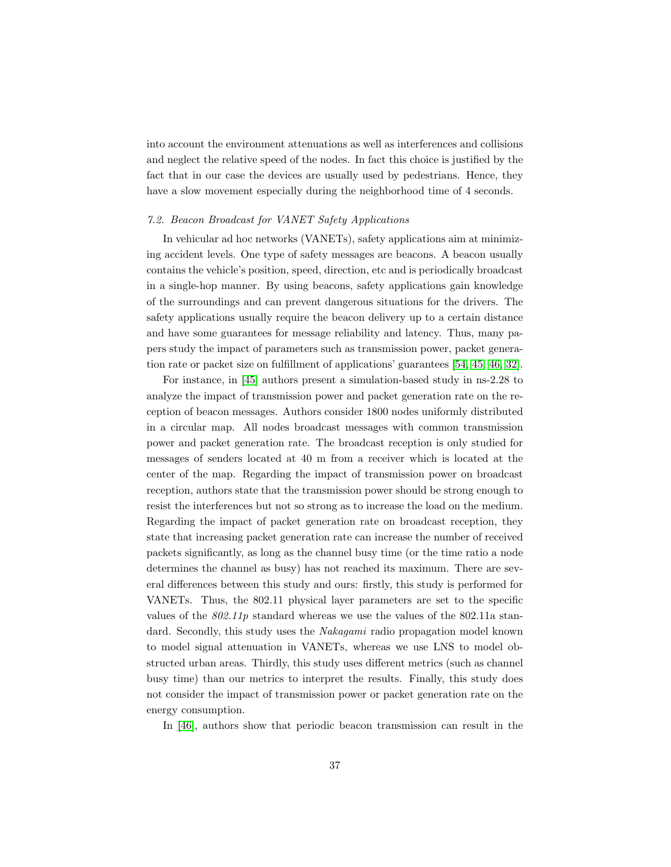into account the environment attenuations as well as interferences and collisions and neglect the relative speed of the nodes. In fact this choice is justified by the fact that in our case the devices are usually used by pedestrians. Hence, they have a slow movement especially during the neighborhood time of 4 seconds.

# 7.2. Beacon Broadcast for VANET Safety Applications

In vehicular ad hoc networks (VANETs), safety applications aim at minimizing accident levels. One type of safety messages are beacons. A beacon usually contains the vehicle's position, speed, direction, etc and is periodically broadcast in a single-hop manner. By using beacons, safety applications gain knowledge of the surroundings and can prevent dangerous situations for the drivers. The safety applications usually require the beacon delivery up to a certain distance and have some guarantees for message reliability and latency. Thus, many papers study the impact of parameters such as transmission power, packet generation rate or packet size on fulfillment of applications' guarantees [\[54,](#page-42-7) [45,](#page-42-8) [46,](#page-42-9) [32\]](#page-41-12).

For instance, in [\[45\]](#page-42-8) authors present a simulation-based study in ns-2.28 to analyze the impact of transmission power and packet generation rate on the reception of beacon messages. Authors consider 1800 nodes uniformly distributed in a circular map. All nodes broadcast messages with common transmission power and packet generation rate. The broadcast reception is only studied for messages of senders located at 40 m from a receiver which is located at the center of the map. Regarding the impact of transmission power on broadcast reception, authors state that the transmission power should be strong enough to resist the interferences but not so strong as to increase the load on the medium. Regarding the impact of packet generation rate on broadcast reception, they state that increasing packet generation rate can increase the number of received packets significantly, as long as the channel busy time (or the time ratio a node determines the channel as busy) has not reached its maximum. There are several differences between this study and ours: firstly, this study is performed for VANETs. Thus, the 802.11 physical layer parameters are set to the specific values of the  $802.11p$  standard whereas we use the values of the 802.11a standard. Secondly, this study uses the *Nakagami* radio propagation model known to model signal attenuation in VANETs, whereas we use LNS to model obstructed urban areas. Thirdly, this study uses different metrics (such as channel busy time) than our metrics to interpret the results. Finally, this study does not consider the impact of transmission power or packet generation rate on the energy consumption.

In [\[46\]](#page-42-9), authors show that periodic beacon transmission can result in the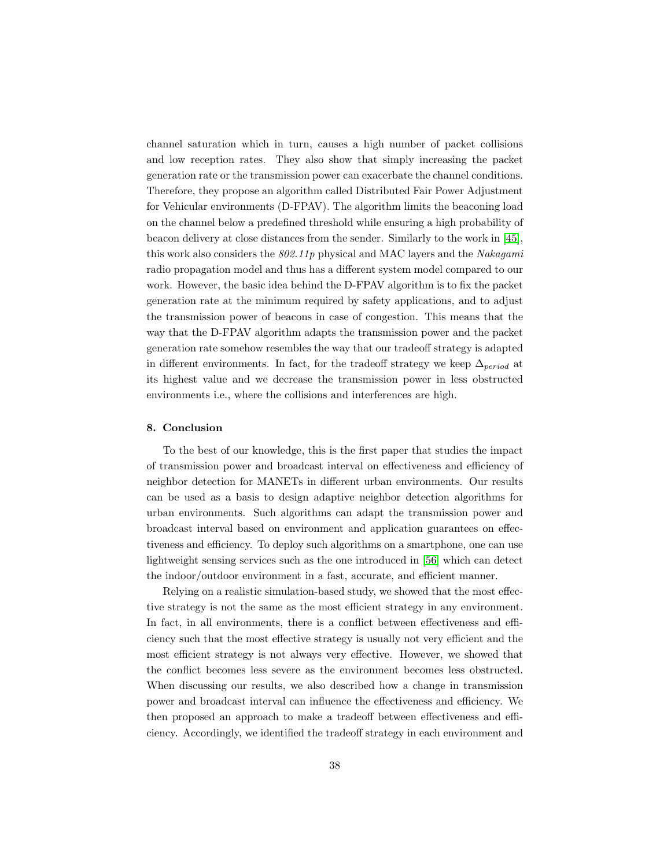channel saturation which in turn, causes a high number of packet collisions and low reception rates. They also show that simply increasing the packet generation rate or the transmission power can exacerbate the channel conditions. Therefore, they propose an algorithm called Distributed Fair Power Adjustment for Vehicular environments (D-FPAV). The algorithm limits the beaconing load on the channel below a predefined threshold while ensuring a high probability of beacon delivery at close distances from the sender. Similarly to the work in [\[45\]](#page-42-8), this work also considers the  $802.11p$  physical and MAC layers and the Nakagami radio propagation model and thus has a different system model compared to our work. However, the basic idea behind the D-FPAV algorithm is to fix the packet generation rate at the minimum required by safety applications, and to adjust the transmission power of beacons in case of congestion. This means that the way that the D-FPAV algorithm adapts the transmission power and the packet generation rate somehow resembles the way that our tradeoff strategy is adapted in different environments. In fact, for the tradeoff strategy we keep  $\Delta_{period}$  at its highest value and we decrease the transmission power in less obstructed environments i.e., where the collisions and interferences are high.

#### <span id="page-37-0"></span>8. Conclusion

To the best of our knowledge, this is the first paper that studies the impact of transmission power and broadcast interval on effectiveness and efficiency of neighbor detection for MANETs in different urban environments. Our results can be used as a basis to design adaptive neighbor detection algorithms for urban environments. Such algorithms can adapt the transmission power and broadcast interval based on environment and application guarantees on effectiveness and efficiency. To deploy such algorithms on a smartphone, one can use lightweight sensing services such as the one introduced in [\[56\]](#page-42-10) which can detect the indoor/outdoor environment in a fast, accurate, and efficient manner.

Relying on a realistic simulation-based study, we showed that the most effective strategy is not the same as the most efficient strategy in any environment. In fact, in all environments, there is a conflict between effectiveness and efficiency such that the most effective strategy is usually not very efficient and the most efficient strategy is not always very effective. However, we showed that the conflict becomes less severe as the environment becomes less obstructed. When discussing our results, we also described how a change in transmission power and broadcast interval can influence the effectiveness and efficiency. We then proposed an approach to make a tradeoff between effectiveness and efficiency. Accordingly, we identified the tradeoff strategy in each environment and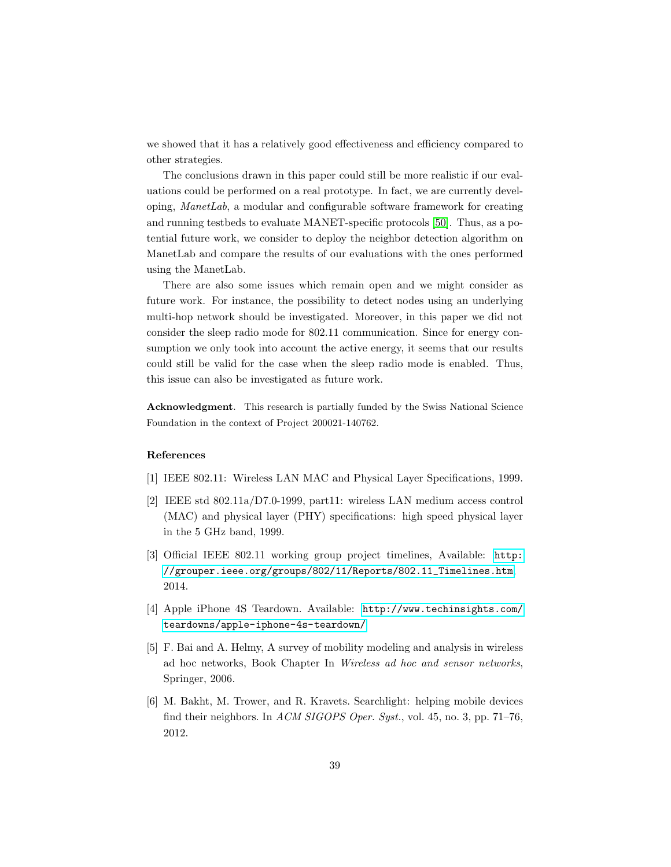we showed that it has a relatively good effectiveness and efficiency compared to other strategies.

The conclusions drawn in this paper could still be more realistic if our evaluations could be performed on a real prototype. In fact, we are currently developing, ManetLab, a modular and configurable software framework for creating and running testbeds to evaluate MANET-specific protocols [\[50\]](#page-42-11). Thus, as a potential future work, we consider to deploy the neighbor detection algorithm on ManetLab and compare the results of our evaluations with the ones performed using the ManetLab.

There are also some issues which remain open and we might consider as future work. For instance, the possibility to detect nodes using an underlying multi-hop network should be investigated. Moreover, in this paper we did not consider the sleep radio mode for 802.11 communication. Since for energy consumption we only took into account the active energy, it seems that our results could still be valid for the case when the sleep radio mode is enabled. Thus, this issue can also be investigated as future work.

Acknowledgment. This research is partially funded by the Swiss National Science Foundation in the context of Project 200021-140762.

#### References

- <span id="page-38-4"></span>[1] IEEE 802.11: Wireless LAN MAC and Physical Layer Specifications, 1999.
- <span id="page-38-0"></span>[2] IEEE std 802.11a/D7.0-1999, part11: wireless LAN medium access control (MAC) and physical layer (PHY) specifications: high speed physical layer in the 5 GHz band, 1999.
- <span id="page-38-1"></span>[3] Official IEEE 802.11 working group project timelines, Available: [http:](http://grouper.ieee.org/groups/802/11/Reports/802.11_Timelines.htm) [//grouper.ieee.org/groups/802/11/Reports/802.11\\_Timelines.htm](http://grouper.ieee.org/groups/802/11/Reports/802.11_Timelines.htm), 2014.
- <span id="page-38-2"></span>[4] Apple iPhone 4S Teardown. Available: [http://www.techinsights.com/](http://www.techinsights.com/teardowns/apple-iphone-4s-teardown/) [teardowns/apple-iphone-4s-teardown/](http://www.techinsights.com/teardowns/apple-iphone-4s-teardown/)
- <span id="page-38-3"></span>[5] F. Bai and A. Helmy, A survey of mobility modeling and analysis in wireless ad hoc networks, Book Chapter In Wireless ad hoc and sensor networks, Springer, 2006.
- <span id="page-38-5"></span>[6] M. Bakht, M. Trower, and R. Kravets. Searchlight: helping mobile devices find their neighbors. In ACM SIGOPS Oper. Syst., vol. 45, no. 3, pp. 71-76, 2012.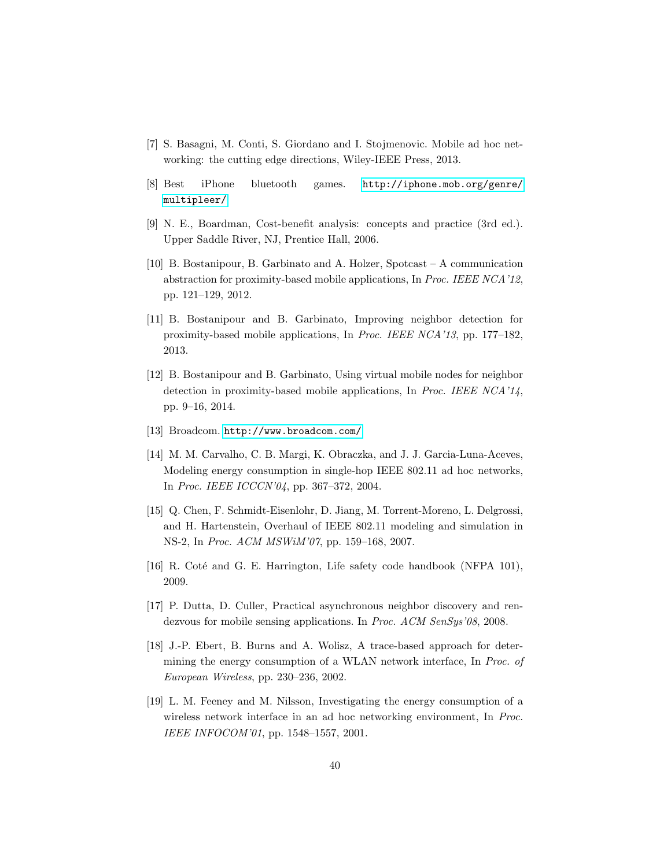- <span id="page-39-7"></span>[7] S. Basagni, M. Conti, S. Giordano and I. Stojmenovic. Mobile ad hoc networking: the cutting edge directions, Wiley-IEEE Press, 2013.
- <span id="page-39-3"></span>[8] Best iPhone bluetooth games. [http://iphone.mob.org/genre/](http://iphone.mob.org/genre/multipleer/) [multipleer/](http://iphone.mob.org/genre/multipleer/)
- <span id="page-39-11"></span>[9] N. E., Boardman, Cost-benefit analysis: concepts and practice (3rd ed.). Upper Saddle River, NJ, Prentice Hall, 2006.
- <span id="page-39-0"></span>[10] B. Bostanipour, B. Garbinato and A. Holzer, Spotcast – A communication abstraction for proximity-based mobile applications, In Proc. IEEE NCA'12, pp. 121–129, 2012.
- <span id="page-39-1"></span>[11] B. Bostanipour and B. Garbinato, Improving neighbor detection for proximity-based mobile applications, In Proc. IEEE NCA'13, pp. 177–182, 2013.
- <span id="page-39-2"></span>[12] B. Bostanipour and B. Garbinato, Using virtual mobile nodes for neighbor detection in proximity-based mobile applications, In Proc. IEEE NCA'14, pp. 9–16, 2014.
- <span id="page-39-4"></span>[13] Broadcom. <http://www.broadcom.com/>
- <span id="page-39-9"></span>[14] M. M. Carvalho, C. B. Margi, K. Obraczka, and J. J. Garcia-Luna-Aceves, Modeling energy consumption in single-hop IEEE 802.11 ad hoc networks, In Proc. IEEE ICCCN'04, pp. 367–372, 2004.
- <span id="page-39-6"></span>[15] Q. Chen, F. Schmidt-Eisenlohr, D. Jiang, M. Torrent-Moreno, L. Delgrossi, and H. Hartenstein, Overhaul of IEEE 802.11 modeling and simulation in NS-2, In Proc. ACM MSWiM'07, pp. 159–168, 2007.
- <span id="page-39-5"></span>[16] R. Coté and G. E. Harrington, Life safety code handbook (NFPA 101), 2009.
- <span id="page-39-12"></span>[17] P. Dutta, D. Culler, Practical asynchronous neighbor discovery and rendezvous for mobile sensing applications. In Proc. ACM SenSys'08, 2008.
- <span id="page-39-10"></span>[18] J.-P. Ebert, B. Burns and A. Wolisz, A trace-based approach for determining the energy consumption of a WLAN network interface, In Proc. of European Wireless, pp. 230–236, 2002.
- <span id="page-39-8"></span>[19] L. M. Feeney and M. Nilsson, Investigating the energy consumption of a wireless network interface in an ad hoc networking environment, In Proc. IEEE INFOCOM'01, pp. 1548–1557, 2001.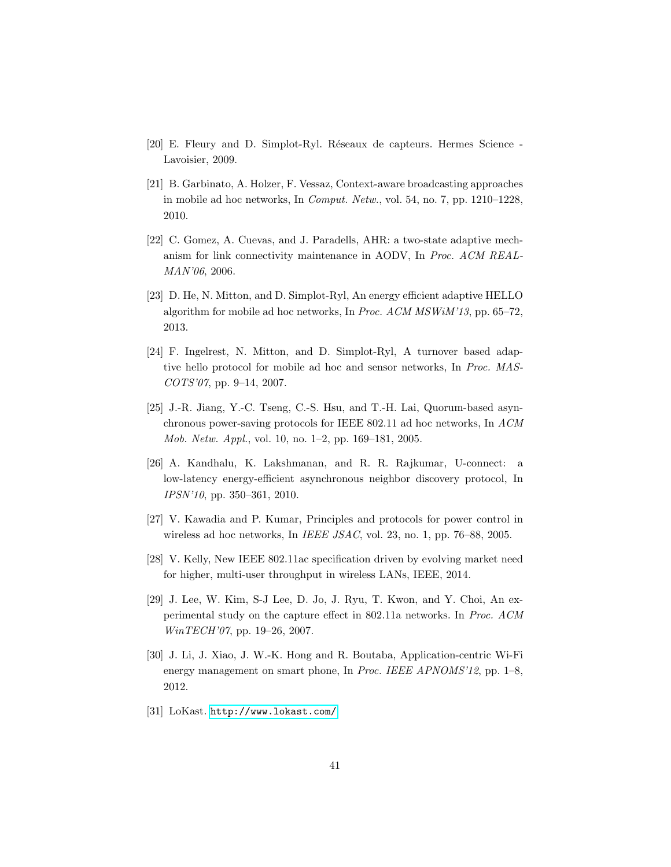- <span id="page-40-11"></span>[20] E. Fleury and D. Simplot-Ryl. Réseaux de capteurs. Hermes Science -Lavoisier, 2009.
- <span id="page-40-6"></span>[21] B. Garbinato, A. Holzer, F. Vessaz, Context-aware broadcasting approaches in mobile ad hoc networks, In Comput. Netw., vol. 54, no. 7, pp. 1210–1228, 2010.
- <span id="page-40-8"></span>[22] C. Gomez, A. Cuevas, and J. Paradells, AHR: a two-state adaptive mechanism for link connectivity maintenance in AODV, In Proc. ACM REAL-MAN'06, 2006.
- <span id="page-40-10"></span>[23] D. He, N. Mitton, and D. Simplot-Ryl, An energy efficient adaptive HELLO algorithm for mobile ad hoc networks, In Proc. ACM MSWiM'13, pp. 65–72, 2013.
- <span id="page-40-9"></span>[24] F. Ingelrest, N. Mitton, and D. Simplot-Ryl, A turnover based adaptive hello protocol for mobile ad hoc and sensor networks, In Proc. MAS-COTS'07, pp. 9–14, 2007.
- <span id="page-40-4"></span>[25] J.-R. Jiang, Y.-C. Tseng, C.-S. Hsu, and T.-H. Lai, Quorum-based asynchronous power-saving protocols for IEEE 802.11 ad hoc networks, In ACM Mob. Netw. Appl., vol. 10, no. 1–2, pp. 169–181, 2005.
- <span id="page-40-7"></span>[26] A. Kandhalu, K. Lakshmanan, and R. R. Rajkumar, U-connect: a low-latency energy-efficient asynchronous neighbor discovery protocol, In IPSN'10, pp. 350–361, 2010.
- <span id="page-40-5"></span>[27] V. Kawadia and P. Kumar, Principles and protocols for power control in wireless ad hoc networks, In IEEE JSAC, vol. 23, no. 1, pp. 76-88, 2005.
- <span id="page-40-1"></span>[28] V. Kelly, New IEEE 802.11ac specification driven by evolving market need for higher, multi-user throughput in wireless LANs, IEEE, 2014.
- <span id="page-40-2"></span>[29] J. Lee, W. Kim, S-J Lee, D. Jo, J. Ryu, T. Kwon, and Y. Choi, An experimental study on the capture effect in 802.11a networks. In Proc. ACM WinTECH'07, pp. 19-26, 2007.
- <span id="page-40-3"></span>[30] J. Li, J. Xiao, J. W.-K. Hong and R. Boutaba, Application-centric Wi-Fi energy management on smart phone, In Proc. IEEE APNOMS'12, pp. 1–8, 2012.
- <span id="page-40-0"></span>[31] LoKast. <http://www.lokast.com/>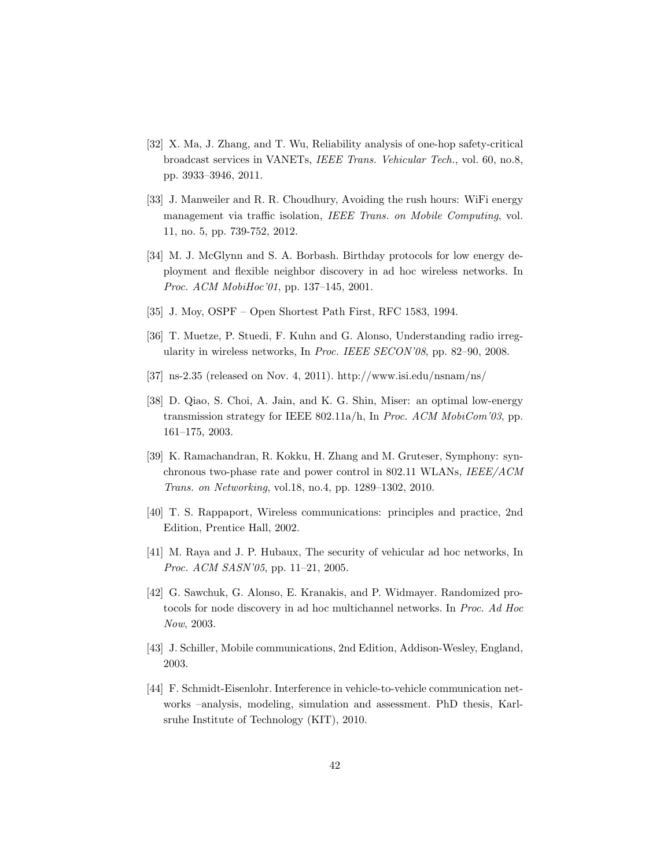- <span id="page-41-12"></span>[32] X. Ma, J. Zhang, and T. Wu, Reliability analysis of one-hop safety-critical broadcast services in VANETs, IEEE Trans. Vehicular Tech., vol. 60, no.8, pp. 3933–3946, 2011.
- <span id="page-41-5"></span>[33] J. Manweiler and R. R. Choudhury, Avoiding the rush hours: WiFi energy management via traffic isolation, IEEE Trans. on Mobile Computing, vol. 11, no. 5, pp. 739-752, 2012.
- <span id="page-41-10"></span>[34] M. J. McGlynn and S. A. Borbash. Birthday protocols for low energy deployment and flexible neighbor discovery in ad hoc wireless networks. In Proc. ACM MobiHoc'01, pp. 137-145, 2001.
- <span id="page-41-9"></span>[35] J. Moy, OSPF – Open Shortest Path First, RFC 1583, 1994.
- <span id="page-41-2"></span>[36] T. Muetze, P. Stuedi, F. Kuhn and G. Alonso, Understanding radio irregularity in wireless networks, In Proc. IEEE SECON'08, pp. 82–90, 2008.
- <span id="page-41-0"></span>[37] ns-2.35 (released on Nov. 4, 2011). http://www.isi.edu/nsnam/ns/
- <span id="page-41-7"></span>[38] D. Qiao, S. Choi, A. Jain, and K. G. Shin, Miser: an optimal low-energy transmission strategy for IEEE 802.11a/h, In Proc. ACM MobiCom'03, pp. 161–175, 2003.
- <span id="page-41-8"></span>[39] K. Ramachandran, R. Kokku, H. Zhang and M. Gruteser, Symphony: synchronous two-phase rate and power control in 802.11 WLANs, IEEE/ACM Trans. on Networking, vol.18, no.4, pp. 1289–1302, 2010.
- <span id="page-41-1"></span>[40] T. S. Rappaport, Wireless communications: principles and practice, 2nd Edition, Prentice Hall, 2002.
- <span id="page-41-3"></span>[41] M. Raya and J. P. Hubaux, The security of vehicular ad hoc networks, In Proc. ACM SASN'05, pp. 11–21, 2005.
- <span id="page-41-11"></span>[42] G. Sawchuk, G. Alonso, E. Kranakis, and P. Widmayer. Randomized protocols for node discovery in ad hoc multichannel networks. In Proc. Ad Hoc Now, 2003.
- <span id="page-41-6"></span>[43] J. Schiller, Mobile communications, 2nd Edition, Addison-Wesley, England, 2003.
- <span id="page-41-4"></span>[44] F. Schmidt-Eisenlohr. Interference in vehicle-to-vehicle communication networks –analysis, modeling, simulation and assessment. PhD thesis, Karlsruhe Institute of Technology (KIT), 2010.